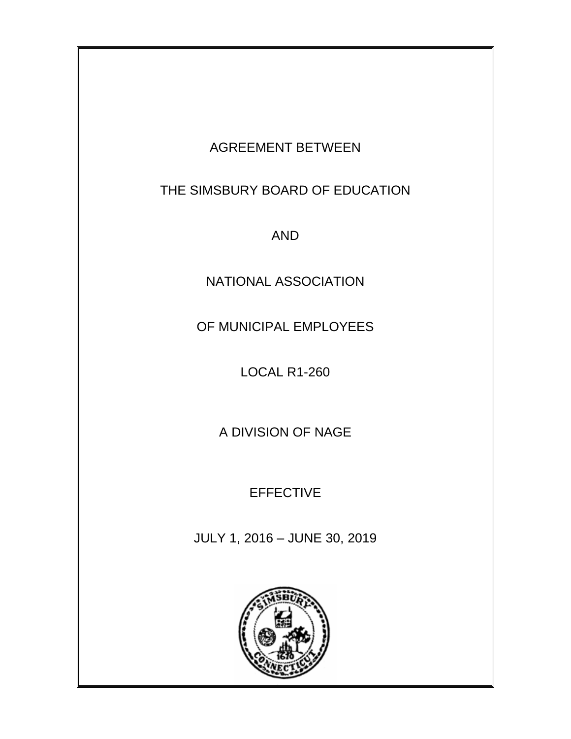# AGREEMENT BETWEEN THE SIMSBURY BOARD OF EDUCATION

AND

NATIONAL ASSOCIATION

OF MUNICIPAL EMPLOYEES

LOCAL R1-260

A DIVISION OF NAGE

EFFECTIVE

JULY 1, 2016 – JUNE 30, 2019

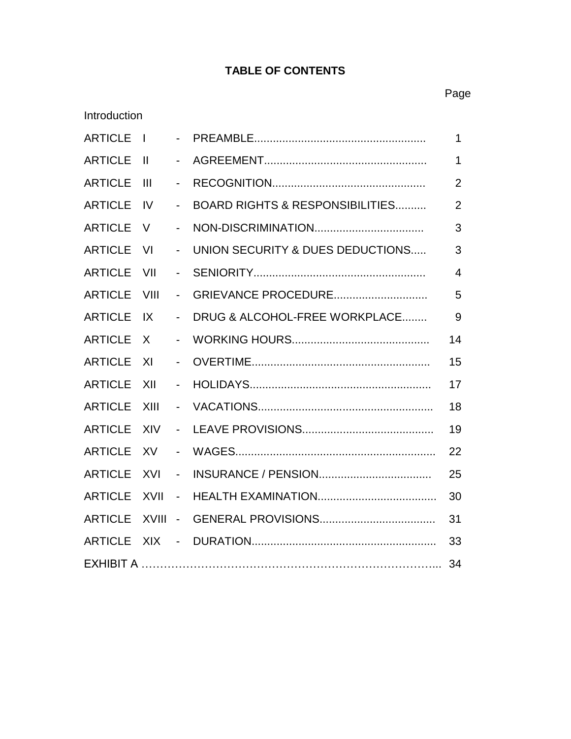# **TABLE OF CONTENTS**

| Introduction   |                |                            |                                            |                |
|----------------|----------------|----------------------------|--------------------------------------------|----------------|
| <b>ARTICLE</b> | $\mathbf{I}$   | $\sim$                     |                                            | 1              |
| <b>ARTICLE</b> | $\mathbf{I}$   | $\blacksquare$             |                                            | $\mathbf 1$    |
| <b>ARTICLE</b> | $\mathbf{III}$ | $\blacksquare$             |                                            | $\overline{2}$ |
| <b>ARTICLE</b> | IV.            |                            | <b>BOARD RIGHTS &amp; RESPONSIBILITIES</b> | $\overline{2}$ |
| <b>ARTICLE</b> | V              | $\overline{\phantom{0}}$   |                                            | 3              |
| <b>ARTICLE</b> | VI             | $\overline{\phantom{a}}$   | UNION SECURITY & DUES DEDUCTIONS           | 3              |
| <b>ARTICLE</b> | VII            | $\overline{\phantom{0}}$   |                                            | $\overline{4}$ |
| <b>ARTICLE</b> | VIII           | $\sim$                     | GRIEVANCE PROCEDURE                        | 5              |
| <b>ARTICLE</b> | IX             | $\overline{\phantom{a}}$   | DRUG & ALCOHOL-FREE WORKPLACE              | 9              |
| <b>ARTICLE</b> | X              | $\overline{a}$             |                                            | 14             |
| <b>ARTICLE</b> | XI             | $\overline{\phantom{a}}$   |                                            | 15             |
| <b>ARTICLE</b> | XII            |                            |                                            | 17             |
| <b>ARTICLE</b> | XIII           | $\sim$                     |                                            | 18             |
| <b>ARTICLE</b> | <b>XIV</b>     | $\blacksquare$             |                                            | 19             |
| <b>ARTICLE</b> | <b>XV</b>      | $\blacksquare$             |                                            | 22             |
| <b>ARTICLE</b> | XVI            | $\overline{\phantom{a}}$   |                                            | 25             |
| <b>ARTICLE</b> | <b>XVII</b>    | $\blacksquare$             |                                            | 30             |
| <b>ARTICLE</b> | <b>XVIII</b>   | $\mathcal{L}^{\text{max}}$ |                                            | 31             |
| <b>ARTICLE</b> | <b>XIX</b>     | $\overline{\phantom{a}}$   |                                            | 33             |
| 34             |                |                            |                                            |                |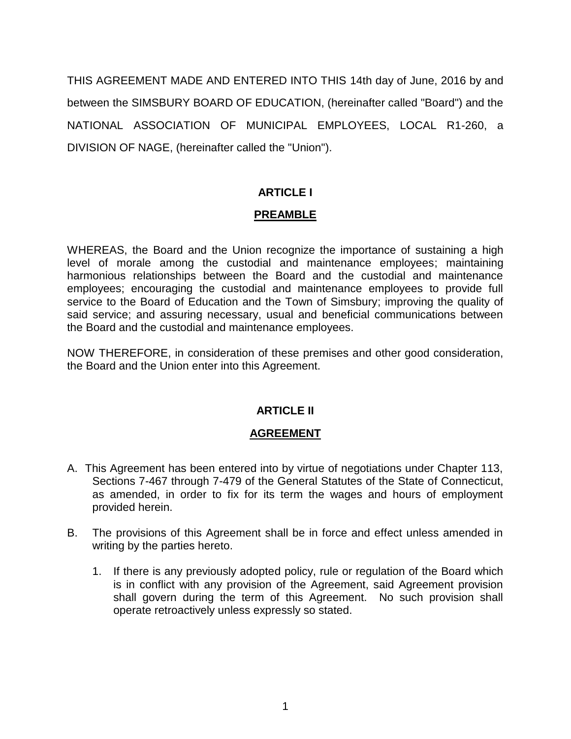THIS AGREEMENT MADE AND ENTERED INTO THIS 14th day of June, 2016 by and between the SIMSBURY BOARD OF EDUCATION, (hereinafter called "Board") and the NATIONAL ASSOCIATION OF MUNICIPAL EMPLOYEES, LOCAL R1-260, a DIVISION OF NAGE, (hereinafter called the "Union").

# **ARTICLE I**

# **PREAMBLE**

WHEREAS, the Board and the Union recognize the importance of sustaining a high level of morale among the custodial and maintenance employees; maintaining harmonious relationships between the Board and the custodial and maintenance employees; encouraging the custodial and maintenance employees to provide full service to the Board of Education and the Town of Simsbury; improving the quality of said service; and assuring necessary, usual and beneficial communications between the Board and the custodial and maintenance employees.

NOW THEREFORE, in consideration of these premises and other good consideration, the Board and the Union enter into this Agreement.

#### **ARTICLE II**

#### **AGREEMENT**

- A. This Agreement has been entered into by virtue of negotiations under Chapter 113, Sections 7-467 through 7-479 of the General Statutes of the State of Connecticut, as amended, in order to fix for its term the wages and hours of employment provided herein.
- B. The provisions of this Agreement shall be in force and effect unless amended in writing by the parties hereto.
	- 1. If there is any previously adopted policy, rule or regulation of the Board which is in conflict with any provision of the Agreement, said Agreement provision shall govern during the term of this Agreement. No such provision shall operate retroactively unless expressly so stated.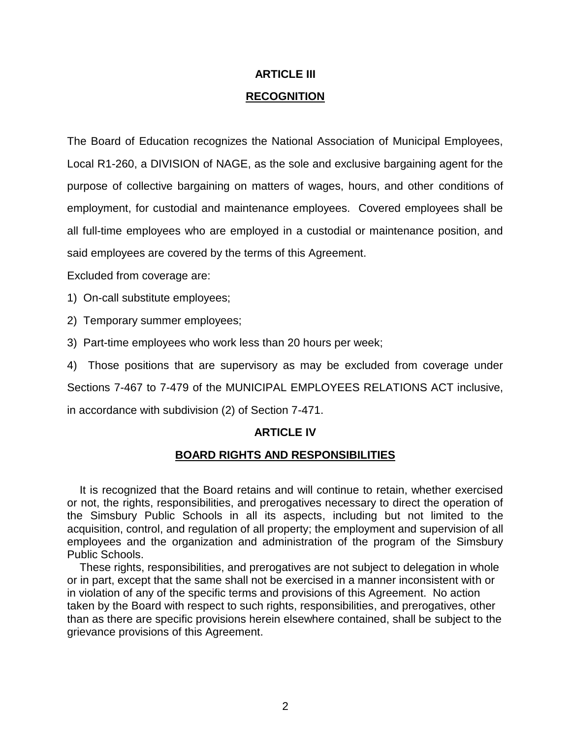# **ARTICLE III RECOGNITION**

The Board of Education recognizes the National Association of Municipal Employees, Local R1-260, a DIVISION of NAGE, as the sole and exclusive bargaining agent for the purpose of collective bargaining on matters of wages, hours, and other conditions of employment, for custodial and maintenance employees. Covered employees shall be all full-time employees who are employed in a custodial or maintenance position, and said employees are covered by the terms of this Agreement.

Excluded from coverage are:

1) On-call substitute employees;

2) Temporary summer employees;

3) Part-time employees who work less than 20 hours per week;

4) Those positions that are supervisory as may be excluded from coverage under

Sections 7-467 to 7-479 of the MUNICIPAL EMPLOYEES RELATIONS ACT inclusive,

in accordance with subdivision (2) of Section 7-471.

#### **ARTICLE IV**

#### **BOARD RIGHTS AND RESPONSIBILITIES**

 It is recognized that the Board retains and will continue to retain, whether exercised or not, the rights, responsibilities, and prerogatives necessary to direct the operation of the Simsbury Public Schools in all its aspects, including but not limited to the acquisition, control, and regulation of all property; the employment and supervision of all employees and the organization and administration of the program of the Simsbury Public Schools.

 These rights, responsibilities, and prerogatives are not subject to delegation in whole or in part, except that the same shall not be exercised in a manner inconsistent with or in violation of any of the specific terms and provisions of this Agreement. No action taken by the Board with respect to such rights, responsibilities, and prerogatives, other than as there are specific provisions herein elsewhere contained, shall be subject to the grievance provisions of this Agreement.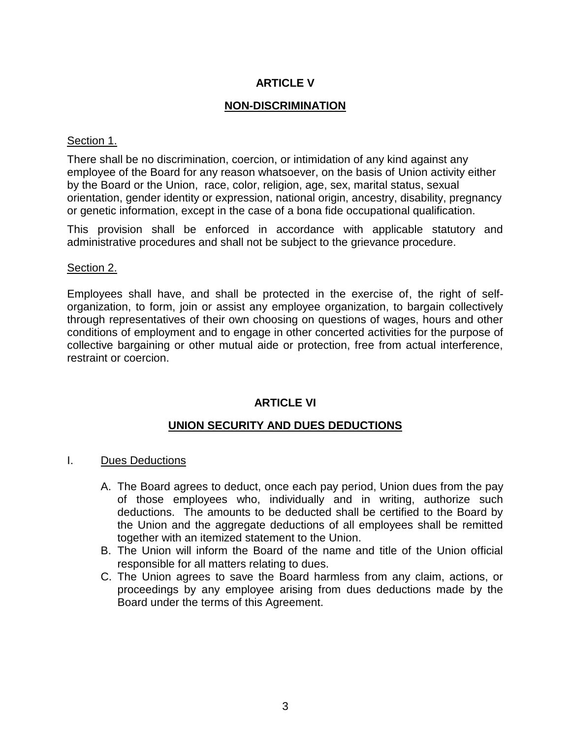# **ARTICLE V**

## **NON-DISCRIMINATION**

#### Section 1.

There shall be no discrimination, coercion, or intimidation of any kind against any employee of the Board for any reason whatsoever, on the basis of Union activity either by the Board or the Union, race, color, religion, age, sex, marital status, sexual orientation, gender identity or expression, national origin, ancestry, disability, pregnancy or genetic information, except in the case of a bona fide occupational qualification.

This provision shall be enforced in accordance with applicable statutory and administrative procedures and shall not be subject to the grievance procedure.

#### Section 2.

Employees shall have, and shall be protected in the exercise of, the right of selforganization, to form, join or assist any employee organization, to bargain collectively through representatives of their own choosing on questions of wages, hours and other conditions of employment and to engage in other concerted activities for the purpose of collective bargaining or other mutual aide or protection, free from actual interference, restraint or coercion.

#### **ARTICLE VI**

# **UNION SECURITY AND DUES DEDUCTIONS**

#### I. Dues Deductions

- A. The Board agrees to deduct, once each pay period, Union dues from the pay of those employees who, individually and in writing, authorize such deductions. The amounts to be deducted shall be certified to the Board by the Union and the aggregate deductions of all employees shall be remitted together with an itemized statement to the Union.
- B. The Union will inform the Board of the name and title of the Union official responsible for all matters relating to dues.
- C. The Union agrees to save the Board harmless from any claim, actions, or proceedings by any employee arising from dues deductions made by the Board under the terms of this Agreement.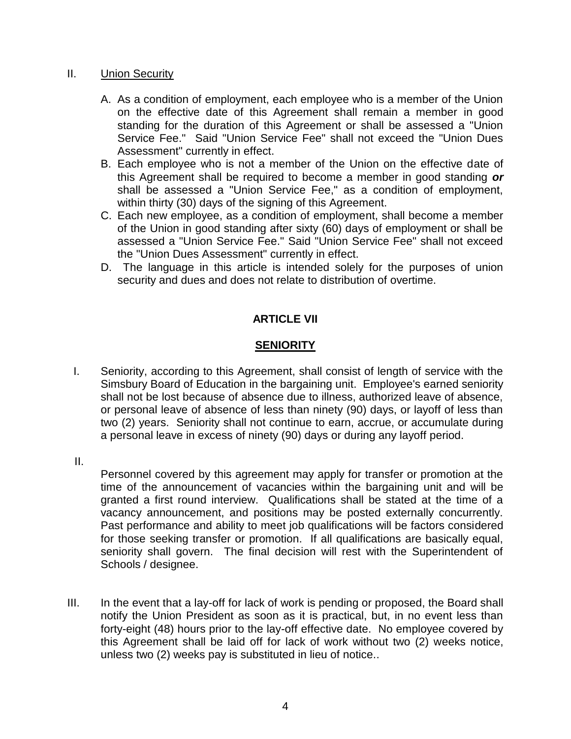#### II. Union Security

- A. As a condition of employment, each employee who is a member of the Union on the effective date of this Agreement shall remain a member in good standing for the duration of this Agreement or shall be assessed a "Union Service Fee." Said "Union Service Fee" shall not exceed the "Union Dues Assessment" currently in effect.
- B. Each employee who is not a member of the Union on the effective date of this Agreement shall be required to become a member in good standing *or* shall be assessed a "Union Service Fee," as a condition of employment, within thirty (30) days of the signing of this Agreement.
- C. Each new employee, as a condition of employment, shall become a member of the Union in good standing after sixty (60) days of employment or shall be assessed a "Union Service Fee." Said "Union Service Fee" shall not exceed the "Union Dues Assessment" currently in effect.
- D. The language in this article is intended solely for the purposes of union security and dues and does not relate to distribution of overtime.

# **ARTICLE VII**

# **SENIORITY**

I. Seniority, according to this Agreement, shall consist of length of service with the Simsbury Board of Education in the bargaining unit. Employee's earned seniority shall not be lost because of absence due to illness, authorized leave of absence, or personal leave of absence of less than ninety (90) days, or layoff of less than two (2) years. Seniority shall not continue to earn, accrue, or accumulate during a personal leave in excess of ninety (90) days or during any layoff period.

II.

Personnel covered by this agreement may apply for transfer or promotion at the time of the announcement of vacancies within the bargaining unit and will be granted a first round interview. Qualifications shall be stated at the time of a vacancy announcement, and positions may be posted externally concurrently. Past performance and ability to meet job qualifications will be factors considered for those seeking transfer or promotion. If all qualifications are basically equal, seniority shall govern. The final decision will rest with the Superintendent of Schools / designee.

III. In the event that a lay-off for lack of work is pending or proposed, the Board shall notify the Union President as soon as it is practical, but, in no event less than forty-eight (48) hours prior to the lay-off effective date. No employee covered by this Agreement shall be laid off for lack of work without two (2) weeks notice, unless two (2) weeks pay is substituted in lieu of notice..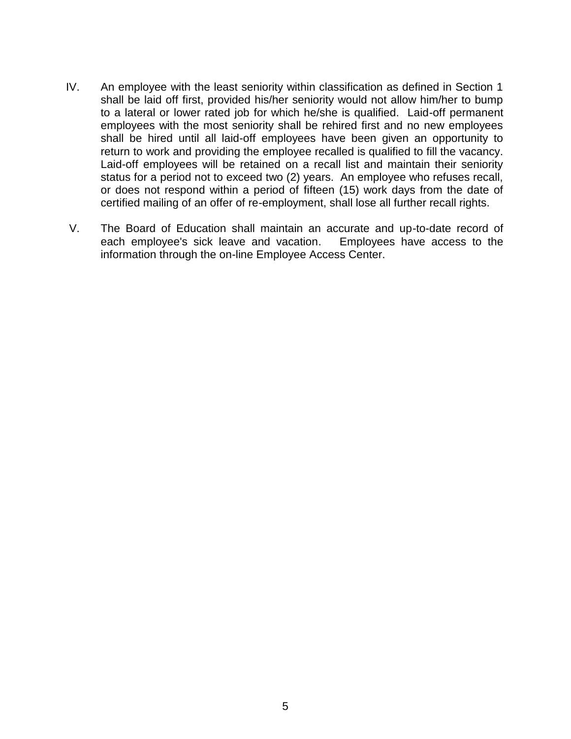- IV. An employee with the least seniority within classification as defined in Section 1 shall be laid off first, provided his/her seniority would not allow him/her to bump to a lateral or lower rated job for which he/she is qualified. Laid-off permanent employees with the most seniority shall be rehired first and no new employees shall be hired until all laid-off employees have been given an opportunity to return to work and providing the employee recalled is qualified to fill the vacancy. Laid-off employees will be retained on a recall list and maintain their seniority status for a period not to exceed two (2) years. An employee who refuses recall, or does not respond within a period of fifteen (15) work days from the date of certified mailing of an offer of re-employment, shall lose all further recall rights.
- V. The Board of Education shall maintain an accurate and up-to-date record of each employee's sick leave and vacation. Employees have access to the information through the on-line Employee Access Center.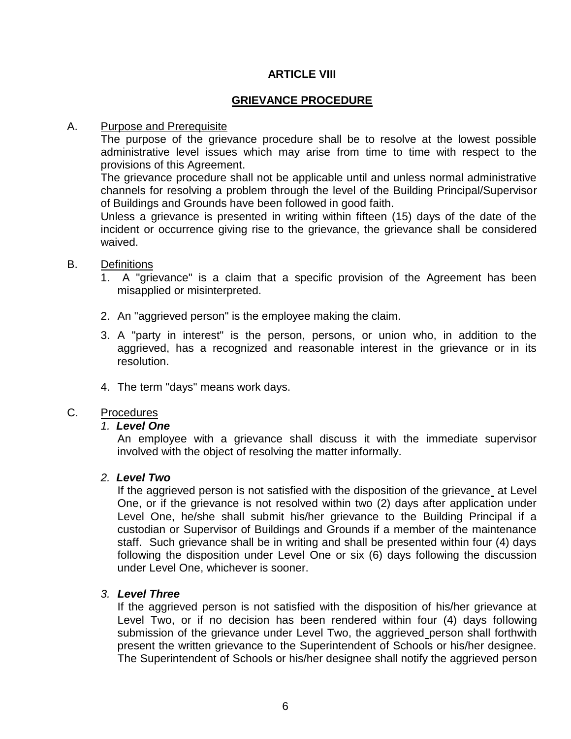# **ARTICLE VIII**

## **GRIEVANCE PROCEDURE**

#### A. Purpose and Prerequisite

The purpose of the grievance procedure shall be to resolve at the lowest possible administrative level issues which may arise from time to time with respect to the provisions of this Agreement.

The grievance procedure shall not be applicable until and unless normal administrative channels for resolving a problem through the level of the Building Principal/Supervisor of Buildings and Grounds have been followed in good faith.

Unless a grievance is presented in writing within fifteen (15) days of the date of the incident or occurrence giving rise to the grievance, the grievance shall be considered waived.

#### B. Definitions

- 1. A "grievance" is a claim that a specific provision of the Agreement has been misapplied or misinterpreted.
- 2. An "aggrieved person" is the employee making the claim.
- 3. A "party in interest" is the person, persons, or union who, in addition to the aggrieved, has a recognized and reasonable interest in the grievance or in its resolution.
- 4. The term "days" means work days.

#### C. Procedures

#### *1. Level One*

An employee with a grievance shall discuss it with the immediate supervisor involved with the object of resolving the matter informally.

#### *2. Level Two*

If the aggrieved person is not satisfied with the disposition of the grievance at Level One, or if the grievance is not resolved within two (2) days after application under Level One, he/she shall submit his/her grievance to the Building Principal if a custodian or Supervisor of Buildings and Grounds if a member of the maintenance staff. Such grievance shall be in writing and shall be presented within four (4) days following the disposition under Level One or six (6) days following the discussion under Level One, whichever is sooner.

#### *3. Level Three*

If the aggrieved person is not satisfied with the disposition of his/her grievance at Level Two, or if no decision has been rendered within four (4) days following submission of the grievance under Level Two, the aggrieved person shall forthwith present the written grievance to the Superintendent of Schools or his/her designee. The Superintendent of Schools or his/her designee shall notify the aggrieved person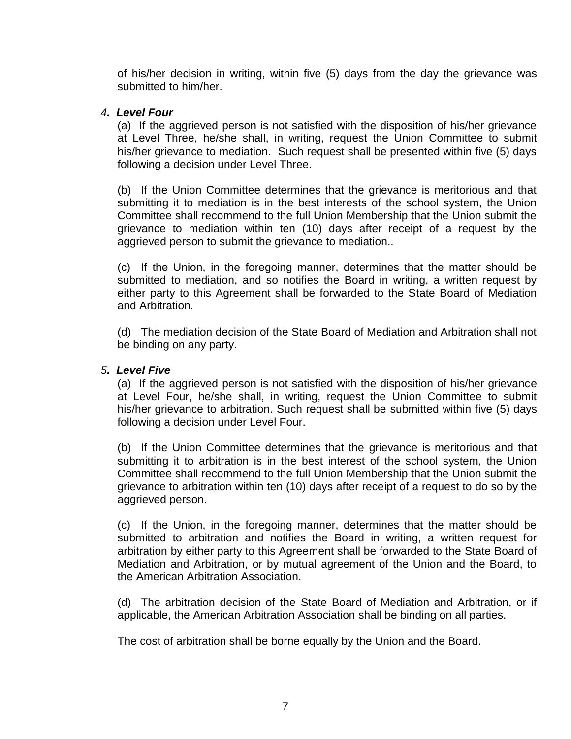of his/her decision in writing, within five (5) days from the day the grievance was submitted to him/her.

#### *4. Level Four*

(a) If the aggrieved person is not satisfied with the disposition of his/her grievance at Level Three, he/she shall, in writing, request the Union Committee to submit his/her grievance to mediation. Such request shall be presented within five (5) days following a decision under Level Three.

(b) If the Union Committee determines that the grievance is meritorious and that submitting it to mediation is in the best interests of the school system, the Union Committee shall recommend to the full Union Membership that the Union submit the grievance to mediation within ten (10) days after receipt of a request by the aggrieved person to submit the grievance to mediation..

(c) If the Union, in the foregoing manner, determines that the matter should be submitted to mediation, and so notifies the Board in writing, a written request by either party to this Agreement shall be forwarded to the State Board of Mediation and Arbitration.

(d) The mediation decision of the State Board of Mediation and Arbitration shall not be binding on any party.

#### *5. Level Five*

(a) If the aggrieved person is not satisfied with the disposition of his/her grievance at Level Four, he/she shall, in writing, request the Union Committee to submit his/her grievance to arbitration. Such request shall be submitted within five (5) days following a decision under Level Four.

(b) If the Union Committee determines that the grievance is meritorious and that submitting it to arbitration is in the best interest of the school system, the Union Committee shall recommend to the full Union Membership that the Union submit the grievance to arbitration within ten (10) days after receipt of a request to do so by the aggrieved person.

(c) If the Union, in the foregoing manner, determines that the matter should be submitted to arbitration and notifies the Board in writing, a written request for arbitration by either party to this Agreement shall be forwarded to the State Board of Mediation and Arbitration, or by mutual agreement of the Union and the Board, to the American Arbitration Association.

(d) The arbitration decision of the State Board of Mediation and Arbitration, or if applicable, the American Arbitration Association shall be binding on all parties.

The cost of arbitration shall be borne equally by the Union and the Board.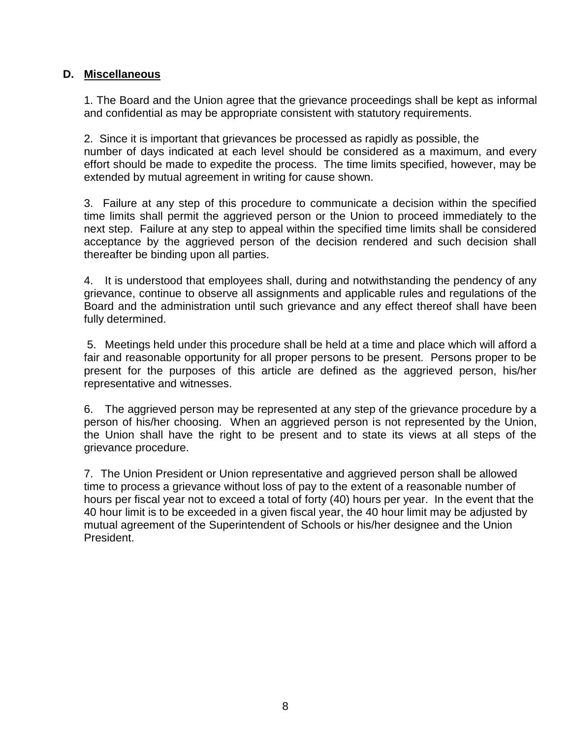# **D. Miscellaneous**

1. The Board and the Union agree that the grievance proceedings shall be kept as informal and confidential as may be appropriate consistent with statutory requirements.

2. Since it is important that grievances be processed as rapidly as possible, the number of days indicated at each level should be considered as a maximum, and every effort should be made to expedite the process. The time limits specified, however, may be extended by mutual agreement in writing for cause shown.

3. Failure at any step of this procedure to communicate a decision within the specified time limits shall permit the aggrieved person or the Union to proceed immediately to the next step. Failure at any step to appeal within the specified time limits shall be considered acceptance by the aggrieved person of the decision rendered and such decision shall thereafter be binding upon all parties.

4. It is understood that employees shall, during and notwithstanding the pendency of any grievance, continue to observe all assignments and applicable rules and regulations of the Board and the administration until such grievance and any effect thereof shall have been fully determined.

5. Meetings held under this procedure shall be held at a time and place which will afford a fair and reasonable opportunity for all proper persons to be present. Persons proper to be present for the purposes of this article are defined as the aggrieved person, his/her representative and witnesses.

6. The aggrieved person may be represented at any step of the grievance procedure by a person of his/her choosing. When an aggrieved person is not represented by the Union, the Union shall have the right to be present and to state its views at all steps of the grievance procedure.

7. The Union President or Union representative and aggrieved person shall be allowed time to process a grievance without loss of pay to the extent of a reasonable number of hours per fiscal year not to exceed a total of forty (40) hours per year. In the event that the 40 hour limit is to be exceeded in a given fiscal year, the 40 hour limit may be adjusted by mutual agreement of the Superintendent of Schools or his/her designee and the Union President.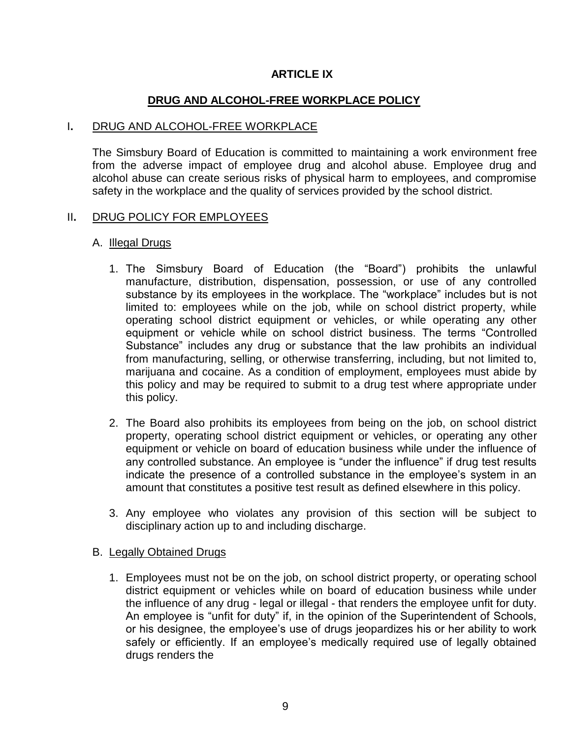#### **ARTICLE IX**

## **DRUG AND ALCOHOL-FREE WORKPLACE POLICY**

#### I**.** DRUG AND ALCOHOL-FREE WORKPLACE

The Simsbury Board of Education is committed to maintaining a work environment free from the adverse impact of employee drug and alcohol abuse. Employee drug and alcohol abuse can create serious risks of physical harm to employees, and compromise safety in the workplace and the quality of services provided by the school district.

#### II**.** DRUG POLICY FOR EMPLOYEES

#### A. Illegal Drugs

- 1. The Simsbury Board of Education (the "Board") prohibits the unlawful manufacture, distribution, dispensation, possession, or use of any controlled substance by its employees in the workplace. The "workplace" includes but is not limited to: employees while on the job, while on school district property, while operating school district equipment or vehicles, or while operating any other equipment or vehicle while on school district business. The terms "Controlled Substance" includes any drug or substance that the law prohibits an individual from manufacturing, selling, or otherwise transferring, including, but not limited to, marijuana and cocaine. As a condition of employment, employees must abide by this policy and may be required to submit to a drug test where appropriate under this policy.
- 2. The Board also prohibits its employees from being on the job, on school district property, operating school district equipment or vehicles, or operating any other equipment or vehicle on board of education business while under the influence of any controlled substance. An employee is "under the influence" if drug test results indicate the presence of a controlled substance in the employee's system in an amount that constitutes a positive test result as defined elsewhere in this policy.
- 3. Any employee who violates any provision of this section will be subject to disciplinary action up to and including discharge.

#### B. Legally Obtained Drugs

1. Employees must not be on the job, on school district property, or operating school district equipment or vehicles while on board of education business while under the influence of any drug - legal or illegal - that renders the employee unfit for duty. An employee is "unfit for duty" if, in the opinion of the Superintendent of Schools, or his designee, the employee's use of drugs jeopardizes his or her ability to work safely or efficiently. If an employee's medically required use of legally obtained drugs renders the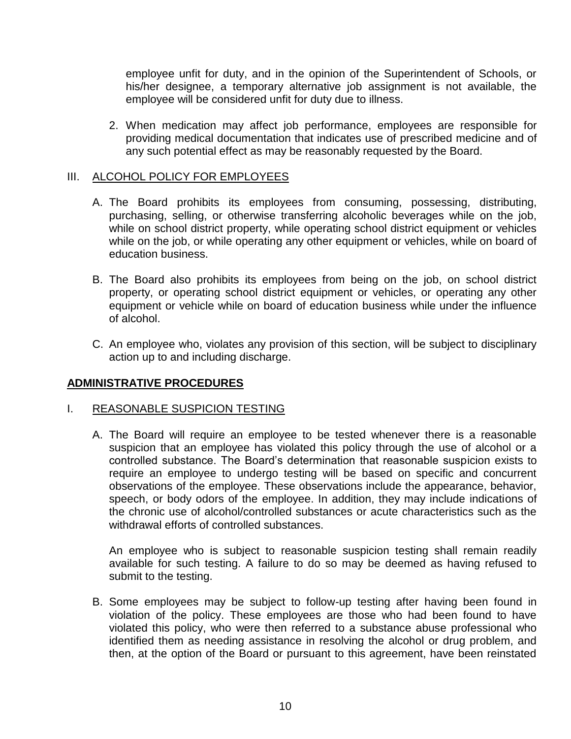employee unfit for duty, and in the opinion of the Superintendent of Schools, or his/her designee, a temporary alternative job assignment is not available, the employee will be considered unfit for duty due to illness.

2. When medication may affect job performance, employees are responsible for providing medical documentation that indicates use of prescribed medicine and of any such potential effect as may be reasonably requested by the Board.

# III. ALCOHOL POLICY FOR EMPLOYEES

- A. The Board prohibits its employees from consuming, possessing, distributing, purchasing, selling, or otherwise transferring alcoholic beverages while on the job, while on school district property, while operating school district equipment or vehicles while on the job, or while operating any other equipment or vehicles, while on board of education business.
- B. The Board also prohibits its employees from being on the job, on school district property, or operating school district equipment or vehicles, or operating any other equipment or vehicle while on board of education business while under the influence of alcohol.
- C. An employee who, violates any provision of this section, will be subject to disciplinary action up to and including discharge.

#### **ADMINISTRATIVE PROCEDURES**

#### I. REASONABLE SUSPICION TESTING

A. The Board will require an employee to be tested whenever there is a reasonable suspicion that an employee has violated this policy through the use of alcohol or a controlled substance. The Board's determination that reasonable suspicion exists to require an employee to undergo testing will be based on specific and concurrent observations of the employee. These observations include the appearance, behavior, speech, or body odors of the employee. In addition, they may include indications of the chronic use of alcohol/controlled substances or acute characteristics such as the withdrawal efforts of controlled substances.

An employee who is subject to reasonable suspicion testing shall remain readily available for such testing. A failure to do so may be deemed as having refused to submit to the testing.

B. Some employees may be subject to follow-up testing after having been found in violation of the policy. These employees are those who had been found to have violated this policy, who were then referred to a substance abuse professional who identified them as needing assistance in resolving the alcohol or drug problem, and then, at the option of the Board or pursuant to this agreement, have been reinstated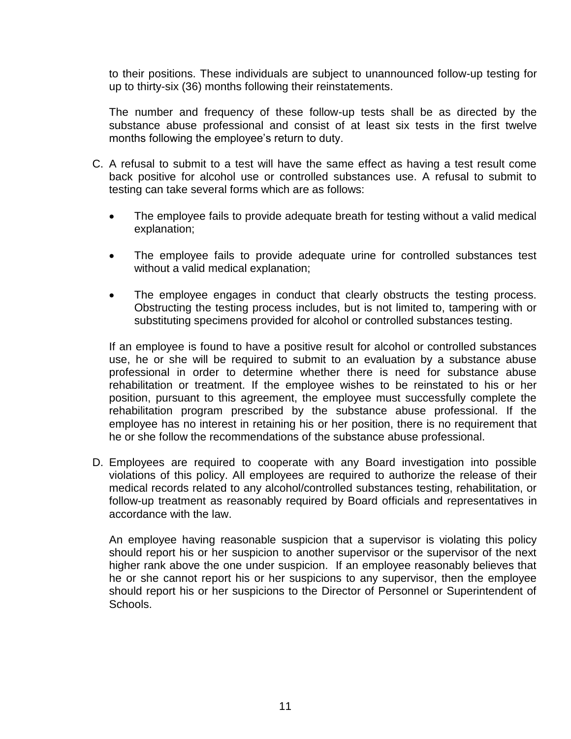to their positions. These individuals are subject to unannounced follow-up testing for up to thirty-six (36) months following their reinstatements.

The number and frequency of these follow-up tests shall be as directed by the substance abuse professional and consist of at least six tests in the first twelve months following the employee's return to duty.

- C. A refusal to submit to a test will have the same effect as having a test result come back positive for alcohol use or controlled substances use. A refusal to submit to testing can take several forms which are as follows:
	- The employee fails to provide adequate breath for testing without a valid medical explanation;
	- The employee fails to provide adequate urine for controlled substances test without a valid medical explanation;
	- The employee engages in conduct that clearly obstructs the testing process. Obstructing the testing process includes, but is not limited to, tampering with or substituting specimens provided for alcohol or controlled substances testing.

If an employee is found to have a positive result for alcohol or controlled substances use, he or she will be required to submit to an evaluation by a substance abuse professional in order to determine whether there is need for substance abuse rehabilitation or treatment. If the employee wishes to be reinstated to his or her position, pursuant to this agreement, the employee must successfully complete the rehabilitation program prescribed by the substance abuse professional. If the employee has no interest in retaining his or her position, there is no requirement that he or she follow the recommendations of the substance abuse professional.

D. Employees are required to cooperate with any Board investigation into possible violations of this policy. All employees are required to authorize the release of their medical records related to any alcohol/controlled substances testing, rehabilitation, or follow-up treatment as reasonably required by Board officials and representatives in accordance with the law.

An employee having reasonable suspicion that a supervisor is violating this policy should report his or her suspicion to another supervisor or the supervisor of the next higher rank above the one under suspicion. If an employee reasonably believes that he or she cannot report his or her suspicions to any supervisor, then the employee should report his or her suspicions to the Director of Personnel or Superintendent of Schools.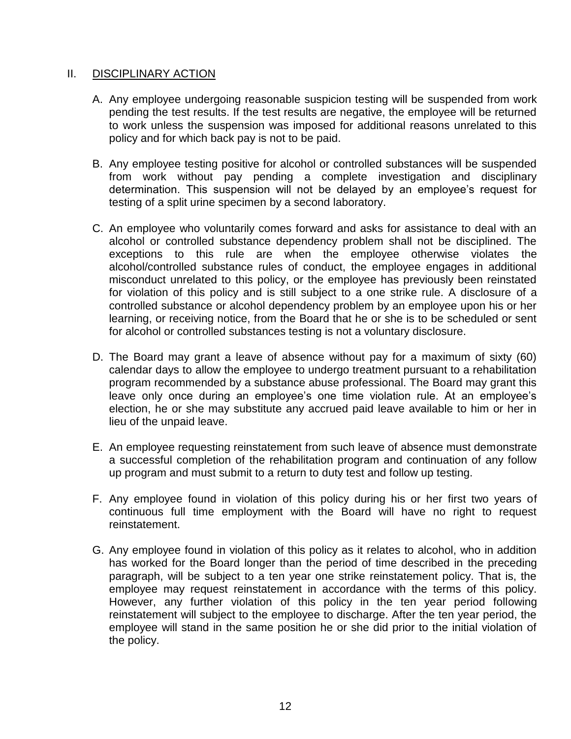#### II. DISCIPLINARY ACTION

- A. Any employee undergoing reasonable suspicion testing will be suspended from work pending the test results. If the test results are negative, the employee will be returned to work unless the suspension was imposed for additional reasons unrelated to this policy and for which back pay is not to be paid.
- B. Any employee testing positive for alcohol or controlled substances will be suspended from work without pay pending a complete investigation and disciplinary determination. This suspension will not be delayed by an employee's request for testing of a split urine specimen by a second laboratory.
- C. An employee who voluntarily comes forward and asks for assistance to deal with an alcohol or controlled substance dependency problem shall not be disciplined. The exceptions to this rule are when the employee otherwise violates the alcohol/controlled substance rules of conduct, the employee engages in additional misconduct unrelated to this policy, or the employee has previously been reinstated for violation of this policy and is still subject to a one strike rule. A disclosure of a controlled substance or alcohol dependency problem by an employee upon his or her learning, or receiving notice, from the Board that he or she is to be scheduled or sent for alcohol or controlled substances testing is not a voluntary disclosure.
- D. The Board may grant a leave of absence without pay for a maximum of sixty (60) calendar days to allow the employee to undergo treatment pursuant to a rehabilitation program recommended by a substance abuse professional. The Board may grant this leave only once during an employee's one time violation rule. At an employee's election, he or she may substitute any accrued paid leave available to him or her in lieu of the unpaid leave.
- E. An employee requesting reinstatement from such leave of absence must demonstrate a successful completion of the rehabilitation program and continuation of any follow up program and must submit to a return to duty test and follow up testing.
- F. Any employee found in violation of this policy during his or her first two years of continuous full time employment with the Board will have no right to request reinstatement.
- G. Any employee found in violation of this policy as it relates to alcohol, who in addition has worked for the Board longer than the period of time described in the preceding paragraph, will be subject to a ten year one strike reinstatement policy. That is, the employee may request reinstatement in accordance with the terms of this policy. However, any further violation of this policy in the ten year period following reinstatement will subject to the employee to discharge. After the ten year period, the employee will stand in the same position he or she did prior to the initial violation of the policy.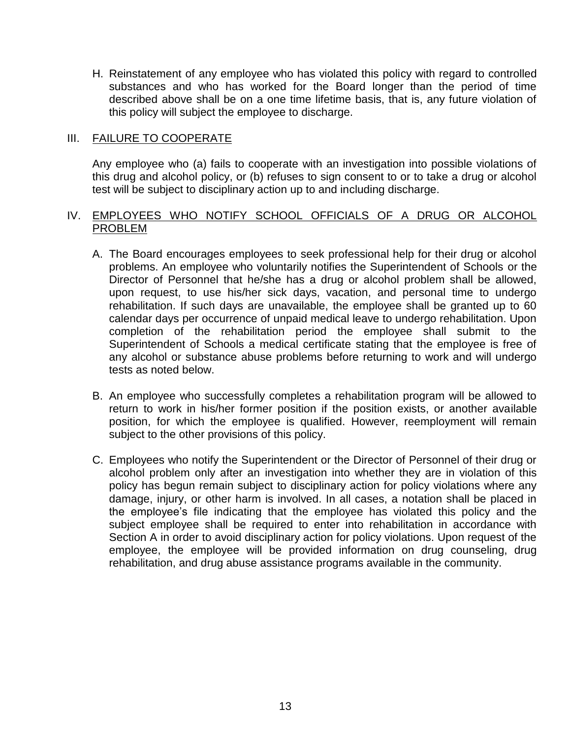H. Reinstatement of any employee who has violated this policy with regard to controlled substances and who has worked for the Board longer than the period of time described above shall be on a one time lifetime basis, that is, any future violation of this policy will subject the employee to discharge.

#### III. FAILURE TO COOPERATE

Any employee who (a) fails to cooperate with an investigation into possible violations of this drug and alcohol policy, or (b) refuses to sign consent to or to take a drug or alcohol test will be subject to disciplinary action up to and including discharge.

#### IV. EMPLOYEES WHO NOTIFY SCHOOL OFFICIALS OF A DRUG OR ALCOHOL PROBLEM

- A. The Board encourages employees to seek professional help for their drug or alcohol problems. An employee who voluntarily notifies the Superintendent of Schools or the Director of Personnel that he/she has a drug or alcohol problem shall be allowed, upon request, to use his/her sick days, vacation, and personal time to undergo rehabilitation. If such days are unavailable, the employee shall be granted up to 60 calendar days per occurrence of unpaid medical leave to undergo rehabilitation. Upon completion of the rehabilitation period the employee shall submit to the Superintendent of Schools a medical certificate stating that the employee is free of any alcohol or substance abuse problems before returning to work and will undergo tests as noted below.
- B. An employee who successfully completes a rehabilitation program will be allowed to return to work in his/her former position if the position exists, or another available position, for which the employee is qualified. However, reemployment will remain subject to the other provisions of this policy.
- C. Employees who notify the Superintendent or the Director of Personnel of their drug or alcohol problem only after an investigation into whether they are in violation of this policy has begun remain subject to disciplinary action for policy violations where any damage, injury, or other harm is involved. In all cases, a notation shall be placed in the employee's file indicating that the employee has violated this policy and the subject employee shall be required to enter into rehabilitation in accordance with Section A in order to avoid disciplinary action for policy violations. Upon request of the employee, the employee will be provided information on drug counseling, drug rehabilitation, and drug abuse assistance programs available in the community.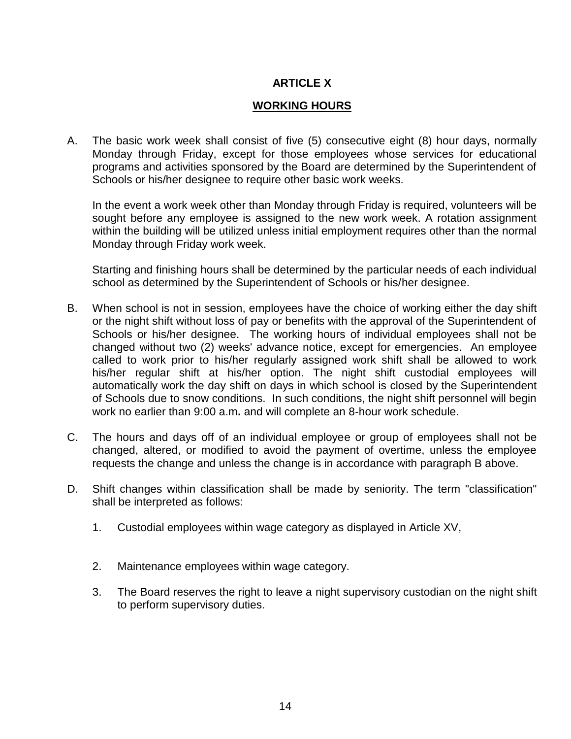# **ARTICLE X**

# **WORKING HOURS**

A. The basic work week shall consist of five (5) consecutive eight (8) hour days, normally Monday through Friday, except for those employees whose services for educational programs and activities sponsored by the Board are determined by the Superintendent of Schools or his/her designee to require other basic work weeks.

In the event a work week other than Monday through Friday is required, volunteers will be sought before any employee is assigned to the new work week. A rotation assignment within the building will be utilized unless initial employment requires other than the normal Monday through Friday work week.

 Starting and finishing hours shall be determined by the particular needs of each individual school as determined by the Superintendent of Schools or his/her designee.

- B. When school is not in session, employees have the choice of working either the day shift or the night shift without loss of pay or benefits with the approval of the Superintendent of Schools or his/her designee. The working hours of individual employees shall not be changed without two (2) weeks' advance notice, except for emergencies. An employee called to work prior to his/her regularly assigned work shift shall be allowed to work his/her regular shift at his/her option. The night shift custodial employees will automatically work the day shift on days in which school is closed by the Superintendent of Schools due to snow conditions. In such conditions, the night shift personnel will begin work no earlier than 9:00 a.m**.** and will complete an 8-hour work schedule.
- C. The hours and days off of an individual employee or group of employees shall not be changed, altered, or modified to avoid the payment of overtime, unless the employee requests the change and unless the change is in accordance with paragraph B above.
- D. Shift changes within classification shall be made by seniority. The term "classification" shall be interpreted as follows:
	- 1. Custodial employees within wage category as displayed in Article XV,
	- 2. Maintenance employees within wage category.
	- 3. The Board reserves the right to leave a night supervisory custodian on the night shift to perform supervisory duties.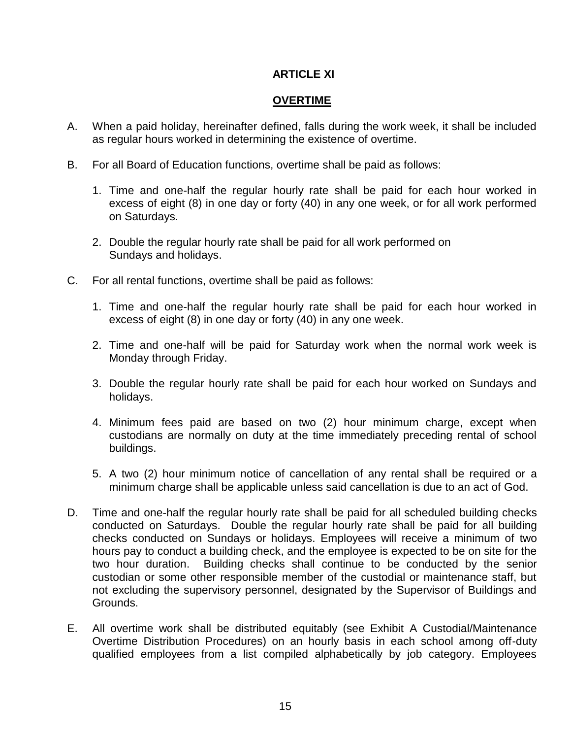# **ARTICLE XI**

## **OVERTIME**

- A. When a paid holiday, hereinafter defined, falls during the work week, it shall be included as regular hours worked in determining the existence of overtime.
- B. For all Board of Education functions, overtime shall be paid as follows:
	- 1. Time and one-half the regular hourly rate shall be paid for each hour worked in excess of eight (8) in one day or forty (40) in any one week, or for all work performed on Saturdays.
	- 2. Double the regular hourly rate shall be paid for all work performed on Sundays and holidays.
- C. For all rental functions, overtime shall be paid as follows:
	- 1. Time and one-half the regular hourly rate shall be paid for each hour worked in excess of eight (8) in one day or forty (40) in any one week.
	- 2. Time and one-half will be paid for Saturday work when the normal work week is Monday through Friday.
	- 3. Double the regular hourly rate shall be paid for each hour worked on Sundays and holidays.
	- 4. Minimum fees paid are based on two (2) hour minimum charge, except when custodians are normally on duty at the time immediately preceding rental of school buildings.
	- 5. A two (2) hour minimum notice of cancellation of any rental shall be required or a minimum charge shall be applicable unless said cancellation is due to an act of God.
- D. Time and one-half the regular hourly rate shall be paid for all scheduled building checks conducted on Saturdays. Double the regular hourly rate shall be paid for all building checks conducted on Sundays or holidays. Employees will receive a minimum of two hours pay to conduct a building check, and the employee is expected to be on site for the two hour duration. Building checks shall continue to be conducted by the senior custodian or some other responsible member of the custodial or maintenance staff, but not excluding the supervisory personnel, designated by the Supervisor of Buildings and Grounds.
- E. All overtime work shall be distributed equitably (see Exhibit A Custodial/Maintenance Overtime Distribution Procedures) on an hourly basis in each school among off-duty qualified employees from a list compiled alphabetically by job category. Employees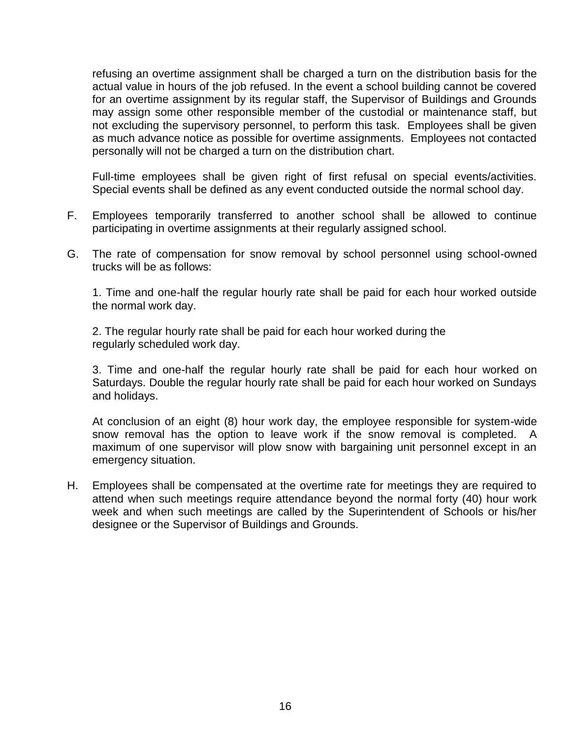refusing an overtime assignment shall be charged a turn on the distribution basis for the actual value in hours of the job refused. In the event a school building cannot be covered for an overtime assignment by its regular staff, the Supervisor of Buildings and Grounds may assign some other responsible member of the custodial or maintenance staff, but not excluding the supervisory personnel, to perform this task. Employees shall be given as much advance notice as possible for overtime assignments. Employees not contacted personally will not be charged a turn on the distribution chart.

Full-time employees shall be given right of first refusal on special events/activities. Special events shall be defined as any event conducted outside the normal school day.

- F. Employees temporarily transferred to another school shall be allowed to continue participating in overtime assignments at their regularly assigned school.
- G. The rate of compensation for snow removal by school personnel using school-owned trucks will be as follows:

 1. Time and one-half the regular hourly rate shall be paid for each hour worked outside the normal work day.

2. The regular hourly rate shall be paid for each hour worked during the regularly scheduled work day.

3. Time and one-half the regular hourly rate shall be paid for each hour worked on Saturdays. Double the regular hourly rate shall be paid for each hour worked on Sundays and holidays.

At conclusion of an eight (8) hour work day, the employee responsible for system-wide snow removal has the option to leave work if the snow removal is completed. A maximum of one supervisor will plow snow with bargaining unit personnel except in an emergency situation.

H. Employees shall be compensated at the overtime rate for meetings they are required to attend when such meetings require attendance beyond the normal forty (40) hour work week and when such meetings are called by the Superintendent of Schools or his/her designee or the Supervisor of Buildings and Grounds.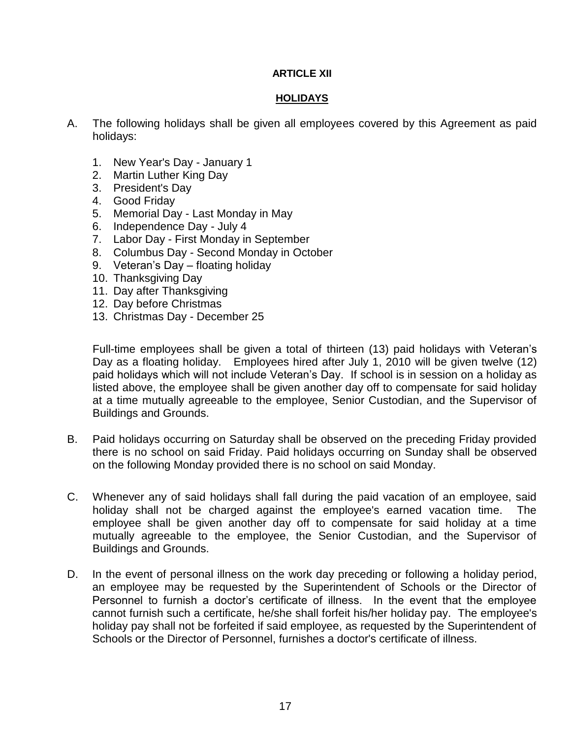#### **ARTICLE XII**

#### **HOLIDAYS**

- A. The following holidays shall be given all employees covered by this Agreement as paid holidays:
	- 1. New Year's Day January 1
	- 2. Martin Luther King Day
	- 3. President's Day
	- 4. Good Friday
	- 5. Memorial Day Last Monday in May
	- 6. Independence Day July 4
	- 7. Labor Day First Monday in September
	- 8. Columbus Day Second Monday in October
	- 9. Veteran's Day floating holiday
	- 10. Thanksgiving Day
	- 11. Day after Thanksgiving
	- 12. Day before Christmas
	- 13. Christmas Day December 25

Full-time employees shall be given a total of thirteen (13) paid holidays with Veteran's Day as a floating holiday. Employees hired after July 1, 2010 will be given twelve (12) paid holidays which will not include Veteran's Day. If school is in session on a holiday as listed above, the employee shall be given another day off to compensate for said holiday at a time mutually agreeable to the employee, Senior Custodian, and the Supervisor of Buildings and Grounds.

- B. Paid holidays occurring on Saturday shall be observed on the preceding Friday provided there is no school on said Friday. Paid holidays occurring on Sunday shall be observed on the following Monday provided there is no school on said Monday.
- C. Whenever any of said holidays shall fall during the paid vacation of an employee, said holiday shall not be charged against the employee's earned vacation time. The employee shall be given another day off to compensate for said holiday at a time mutually agreeable to the employee, the Senior Custodian, and the Supervisor of Buildings and Grounds.
- D. In the event of personal illness on the work day preceding or following a holiday period, an employee may be requested by the Superintendent of Schools or the Director of Personnel to furnish a doctor's certificate of illness. In the event that the employee cannot furnish such a certificate, he/she shall forfeit his/her holiday pay. The employee's holiday pay shall not be forfeited if said employee, as requested by the Superintendent of Schools or the Director of Personnel, furnishes a doctor's certificate of illness.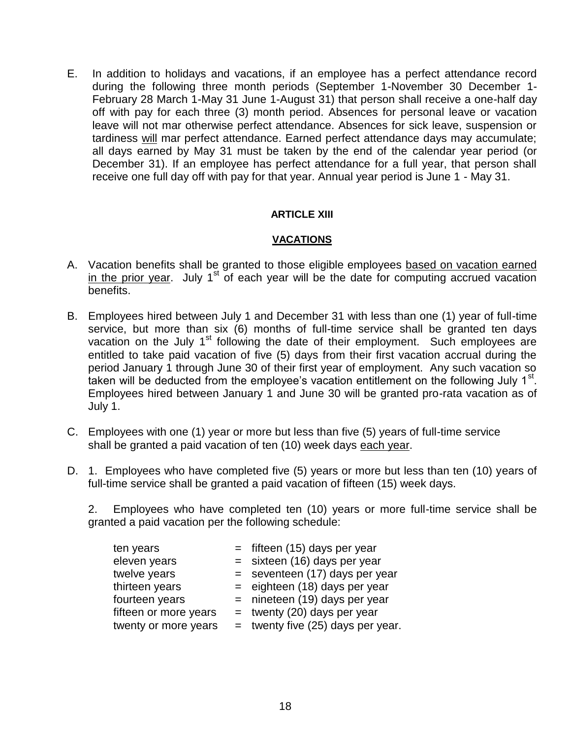E. In addition to holidays and vacations, if an employee has a perfect attendance record during the following three month periods (September 1-November 30 December 1- February 28 March 1-May 31 June 1-August 31) that person shall receive a one-half day off with pay for each three (3) month period. Absences for personal leave or vacation leave will not mar otherwise perfect attendance. Absences for sick leave, suspension or tardiness will mar perfect attendance. Earned perfect attendance days may accumulate; all days earned by May 31 must be taken by the end of the calendar year period (or December 31). If an employee has perfect attendance for a full year, that person shall receive one full day off with pay for that year. Annual year period is June 1 - May 31.

#### **ARTICLE XIII**

#### **VACATIONS**

- A. Vacation benefits shall be granted to those eligible employees based on vacation earned in the prior year. July  $1<sup>st</sup>$  of each year will be the date for computing accrued vacation benefits.
- B. Employees hired between July 1 and December 31 with less than one (1) year of full-time service, but more than six (6) months of full-time service shall be granted ten days vacation on the July  $1<sup>st</sup>$  following the date of their employment. Such employees are entitled to take paid vacation of five (5) days from their first vacation accrual during the period January 1 through June 30 of their first year of employment. Any such vacation so taken will be deducted from the employee's vacation entitlement on the following July 1<sup>st</sup>. Employees hired between January 1 and June 30 will be granted pro-rata vacation as of July 1.
- C. Employees with one (1) year or more but less than five (5) years of full-time service shall be granted a paid vacation of ten (10) week days each year.
- D. 1. Employees who have completed five (5) years or more but less than ten (10) years of full-time service shall be granted a paid vacation of fifteen (15) week days.

2. Employees who have completed ten (10) years or more full-time service shall be granted a paid vacation per the following schedule:

| ten years             | $=$ fifteen (15) days per year      |
|-----------------------|-------------------------------------|
| eleven years          | $=$ sixteen (16) days per year      |
| twelve years          | $=$ seventeen (17) days per year    |
| thirteen years        | $=$ eighteen (18) days per year     |
| fourteen years        | $=$ nineteen (19) days per year     |
| fifteen or more years | $=$ twenty (20) days per year       |
| twenty or more years  | $=$ twenty five (25) days per year. |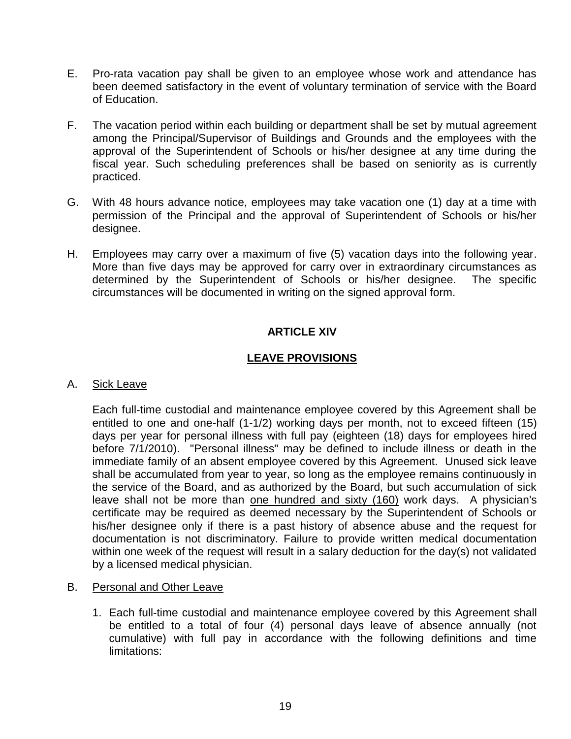- E. Pro-rata vacation pay shall be given to an employee whose work and attendance has been deemed satisfactory in the event of voluntary termination of service with the Board of Education.
- F. The vacation period within each building or department shall be set by mutual agreement among the Principal/Supervisor of Buildings and Grounds and the employees with the approval of the Superintendent of Schools or his/her designee at any time during the fiscal year. Such scheduling preferences shall be based on seniority as is currently practiced.
- G. With 48 hours advance notice, employees may take vacation one (1) day at a time with permission of the Principal and the approval of Superintendent of Schools or his/her designee.
- H. Employees may carry over a maximum of five (5) vacation days into the following year. More than five days may be approved for carry over in extraordinary circumstances as determined by the Superintendent of Schools or his/her designee. The specific circumstances will be documented in writing on the signed approval form.

# **ARTICLE XIV**

# **LEAVE PROVISIONS**

A. Sick Leave

Each full-time custodial and maintenance employee covered by this Agreement shall be entitled to one and one-half (1-1/2) working days per month, not to exceed fifteen (15) days per year for personal illness with full pay (eighteen (18) days for employees hired before 7/1/2010). "Personal illness" may be defined to include illness or death in the immediate family of an absent employee covered by this Agreement. Unused sick leave shall be accumulated from year to year, so long as the employee remains continuously in the service of the Board, and as authorized by the Board, but such accumulation of sick leave shall not be more than one hundred and sixty (160) work days. A physician's certificate may be required as deemed necessary by the Superintendent of Schools or his/her designee only if there is a past history of absence abuse and the request for documentation is not discriminatory. Failure to provide written medical documentation within one week of the request will result in a salary deduction for the day(s) not validated by a licensed medical physician.

- B. Personal and Other Leave
	- 1. Each full-time custodial and maintenance employee covered by this Agreement shall be entitled to a total of four (4) personal days leave of absence annually (not cumulative) with full pay in accordance with the following definitions and time limitations: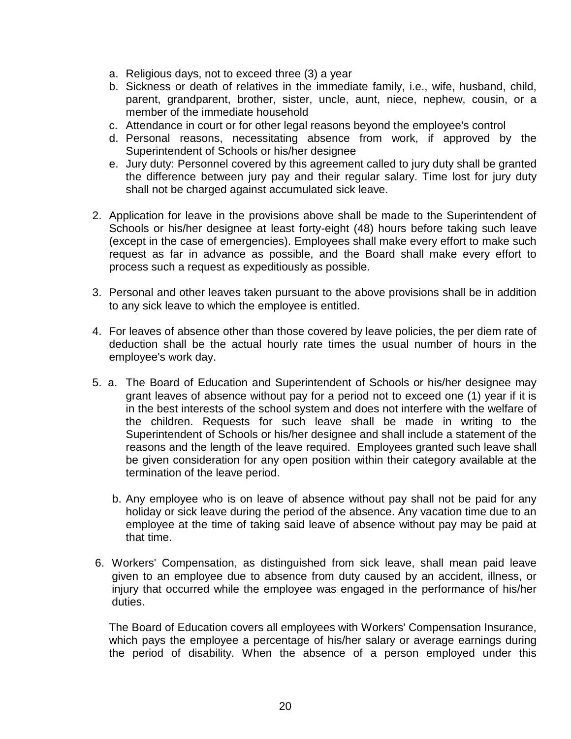- a. Religious days, not to exceed three (3) a year
- b. Sickness or death of relatives in the immediate family, i.e., wife, husband, child, parent, grandparent, brother, sister, uncle, aunt, niece, nephew, cousin, or a member of the immediate household
- c. Attendance in court or for other legal reasons beyond the employee's control
- d. Personal reasons, necessitating absence from work, if approved by the Superintendent of Schools or his/her designee
- e. Jury duty: Personnel covered by this agreement called to jury duty shall be granted the difference between jury pay and their regular salary. Time lost for jury duty shall not be charged against accumulated sick leave.
- 2. Application for leave in the provisions above shall be made to the Superintendent of Schools or his/her designee at least forty-eight (48) hours before taking such leave (except in the case of emergencies). Employees shall make every effort to make such request as far in advance as possible, and the Board shall make every effort to process such a request as expeditiously as possible.
- 3. Personal and other leaves taken pursuant to the above provisions shall be in addition to any sick leave to which the employee is entitled.
- 4. For leaves of absence other than those covered by leave policies, the per diem rate of deduction shall be the actual hourly rate times the usual number of hours in the employee's work day.
- 5. a. The Board of Education and Superintendent of Schools or his/her designee may grant leaves of absence without pay for a period not to exceed one (1) year if it is in the best interests of the school system and does not interfere with the welfare of the children. Requests for such leave shall be made in writing to the Superintendent of Schools or his/her designee and shall include a statement of the reasons and the length of the leave required. Employees granted such leave shall be given consideration for any open position within their category available at the termination of the leave period.
	- b. Any employee who is on leave of absence without pay shall not be paid for any holiday or sick leave during the period of the absence. Any vacation time due to an employee at the time of taking said leave of absence without pay may be paid at that time.
- 6. Workers' Compensation, as distinguished from sick leave, shall mean paid leave given to an employee due to absence from duty caused by an accident, illness, or injury that occurred while the employee was engaged in the performance of his/her duties.

The Board of Education covers all employees with Workers' Compensation Insurance, which pays the employee a percentage of his/her salary or average earnings during the period of disability. When the absence of a person employed under this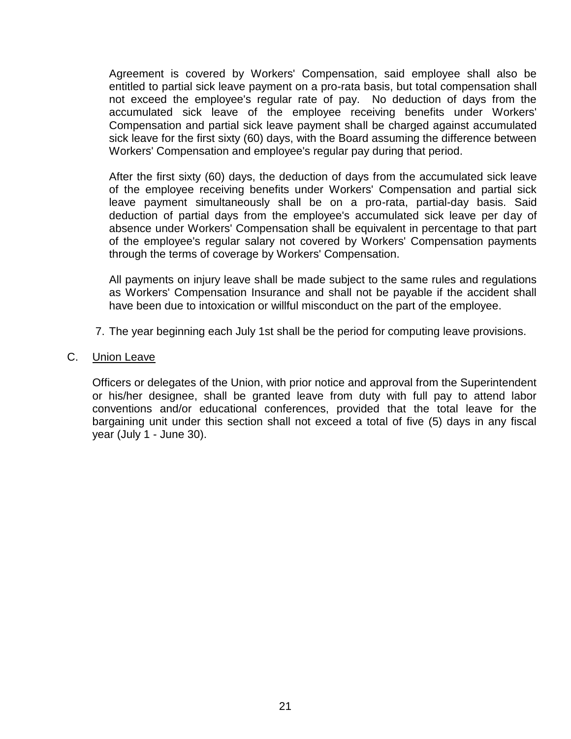Agreement is covered by Workers' Compensation, said employee shall also be entitled to partial sick leave payment on a pro-rata basis, but total compensation shall not exceed the employee's regular rate of pay. No deduction of days from the accumulated sick leave of the employee receiving benefits under Workers' Compensation and partial sick leave payment shall be charged against accumulated sick leave for the first sixty (60) days, with the Board assuming the difference between Workers' Compensation and employee's regular pay during that period.

After the first sixty (60) days, the deduction of days from the accumulated sick leave of the employee receiving benefits under Workers' Compensation and partial sick leave payment simultaneously shall be on a pro-rata, partial-day basis. Said deduction of partial days from the employee's accumulated sick leave per day of absence under Workers' Compensation shall be equivalent in percentage to that part of the employee's regular salary not covered by Workers' Compensation payments through the terms of coverage by Workers' Compensation.

All payments on injury leave shall be made subject to the same rules and regulations as Workers' Compensation Insurance and shall not be payable if the accident shall have been due to intoxication or willful misconduct on the part of the employee.

- 7. The year beginning each July 1st shall be the period for computing leave provisions.
- C. Union Leave

Officers or delegates of the Union, with prior notice and approval from the Superintendent or his/her designee, shall be granted leave from duty with full pay to attend labor conventions and/or educational conferences, provided that the total leave for the bargaining unit under this section shall not exceed a total of five (5) days in any fiscal year (July 1 - June 30).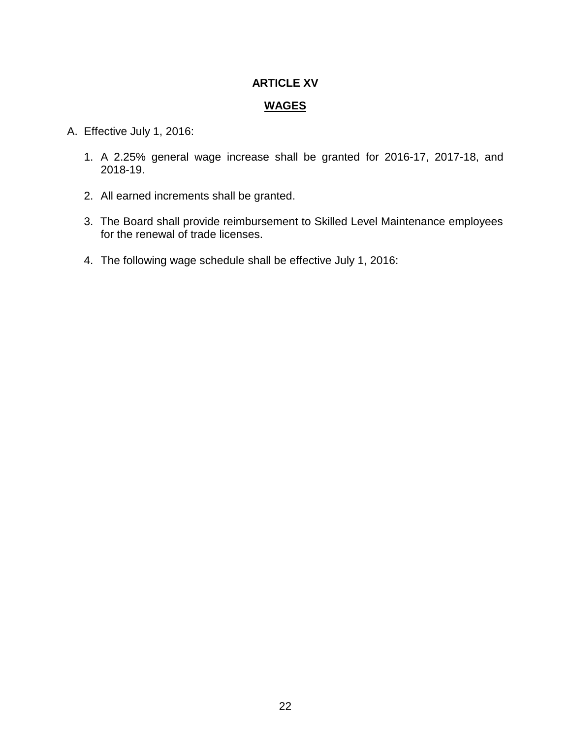# **ARTICLE XV**

#### **WAGES**

- A. Effective July 1, 2016:
	- 1. A 2.25% general wage increase shall be granted for 2016-17, 2017-18, and 2018-19.
	- 2. All earned increments shall be granted.
	- 3. The Board shall provide reimbursement to Skilled Level Maintenance employees for the renewal of trade licenses.
	- 4. The following wage schedule shall be effective July 1, 2016: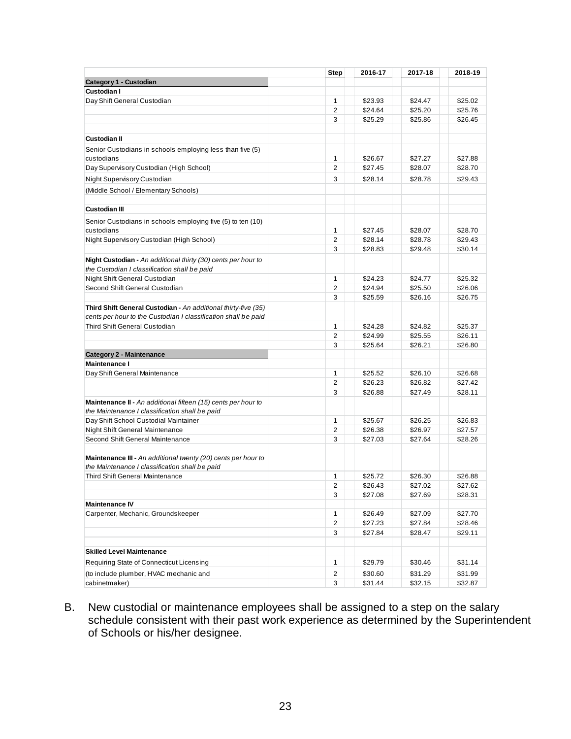|                                                                                                                                  | <b>Step</b>    | 2016-17 | 2017-18 | 2018-19 |
|----------------------------------------------------------------------------------------------------------------------------------|----------------|---------|---------|---------|
| Category 1 - Custodian                                                                                                           |                |         |         |         |
| <b>Custodian I</b>                                                                                                               |                |         |         |         |
| Day Shift General Custodian                                                                                                      | $\mathbf{1}$   | \$23.93 | \$24.47 | \$25.02 |
|                                                                                                                                  | $\overline{2}$ | \$24.64 | \$25.20 | \$25.76 |
|                                                                                                                                  | 3              | \$25.29 | \$25.86 | \$26.45 |
|                                                                                                                                  |                |         |         |         |
| <b>Custodian II</b>                                                                                                              |                |         |         |         |
| Senior Custodians in schools employing less than five (5)                                                                        |                |         |         |         |
| custodians                                                                                                                       | 1              | \$26.67 | \$27.27 | \$27.88 |
| Day Supervisory Custodian (High School)                                                                                          | $\overline{2}$ | \$27.45 | \$28.07 | \$28.70 |
| Night Supervisory Custodian                                                                                                      | 3              | \$28.14 | \$28.78 | \$29.43 |
| (Middle School / Elementary Schools)                                                                                             |                |         |         |         |
|                                                                                                                                  |                |         |         |         |
| <b>Custodian III</b>                                                                                                             |                |         |         |         |
| Senior Custodians in schools employing five (5) to ten (10)                                                                      |                |         |         |         |
| custodians                                                                                                                       | 1              | \$27.45 | \$28.07 | \$28.70 |
| Night Supervisory Custodian (High School)                                                                                        | $\overline{2}$ | \$28.14 | \$28.78 | \$29.43 |
|                                                                                                                                  | 3              | \$28.83 | \$29.48 | \$30.14 |
| Night Custodian - An additional thirty (30) cents per hour to                                                                    |                |         |         |         |
| the Custodian I classification shall be paid                                                                                     |                |         |         |         |
| Night Shift General Custodian                                                                                                    | $\mathbf{1}$   | \$24.23 | \$24.77 | \$25.32 |
| Second Shift General Custodian                                                                                                   | 2              | \$24.94 | \$25.50 | \$26.06 |
|                                                                                                                                  | 3              | \$25.59 | \$26.16 | \$26.75 |
| Third Shift General Custodian - An additional thirty-five (35)<br>cents per hour to the Custodian I classification shall be paid |                |         |         |         |
| Third Shift General Custodian                                                                                                    | 1              | \$24.28 | \$24.82 | \$25.37 |
|                                                                                                                                  | 2              | \$24.99 | \$25.55 | \$26.11 |
|                                                                                                                                  | 3              | \$25.64 | \$26.21 | \$26.80 |
| <b>Category 2 - Maintenance</b>                                                                                                  |                |         |         |         |
| <b>Maintenance I</b>                                                                                                             |                |         |         |         |
| Day Shift General Maintenance                                                                                                    | $\mathbf{1}$   | \$25.52 | \$26.10 | \$26.68 |
|                                                                                                                                  | $\overline{2}$ | \$26.23 | \$26.82 | \$27.42 |
|                                                                                                                                  | 3              | \$26.88 | \$27.49 | \$28.11 |
| Maintenance II - An additional fifteen (15) cents per hour to                                                                    |                |         |         |         |
| the Maintenance I classification shall be paid                                                                                   |                |         |         |         |
| Day Shift School Custodial Maintainer                                                                                            | $\mathbf{1}$   | \$25.67 | \$26.25 | \$26.83 |
| Night Shift General Maintenance                                                                                                  | $\mathbf{2}$   | \$26.38 | \$26.97 | \$27.57 |
| Second Shift General Maintenance                                                                                                 | 3              | \$27.03 | \$27.64 | \$28.26 |
|                                                                                                                                  |                |         |         |         |
| Maintenance III - An additional twenty (20) cents per hour to<br>the Maintenance I classification shall be paid                  |                |         |         |         |
| Third Shift General Maintenance                                                                                                  | $\mathbf{1}$   | \$25.72 | \$26.30 | \$26.88 |
|                                                                                                                                  | $\overline{c}$ | \$26.43 | \$27.02 | \$27.62 |
|                                                                                                                                  | 3              | \$27.08 | \$27.69 | \$28.31 |
| <b>Maintenance IV</b>                                                                                                            |                |         |         |         |
| Carpenter, Mechanic, Groundskeeper                                                                                               | $\mathbf{1}$   | \$26.49 | \$27.09 | \$27.70 |
|                                                                                                                                  | $\overline{2}$ | \$27.23 | \$27.84 | \$28.46 |
|                                                                                                                                  | 3              | \$27.84 | \$28.47 | \$29.11 |
|                                                                                                                                  |                |         |         |         |
| <b>Skilled Level Maintenance</b>                                                                                                 |                |         |         |         |
| Requiring State of Connecticut Licensing                                                                                         | 1              | \$29.79 | \$30.46 | \$31.14 |
| (to include plumber, HVAC mechanic and                                                                                           | $\overline{2}$ | \$30.60 | \$31.29 | \$31.99 |
| cabinetmaker)                                                                                                                    | 3              | \$31.44 | \$32.15 | \$32.87 |

B. New custodial or maintenance employees shall be assigned to a step on the salary schedule consistent with their past work experience as determined by the Superintendent of Schools or his/her designee.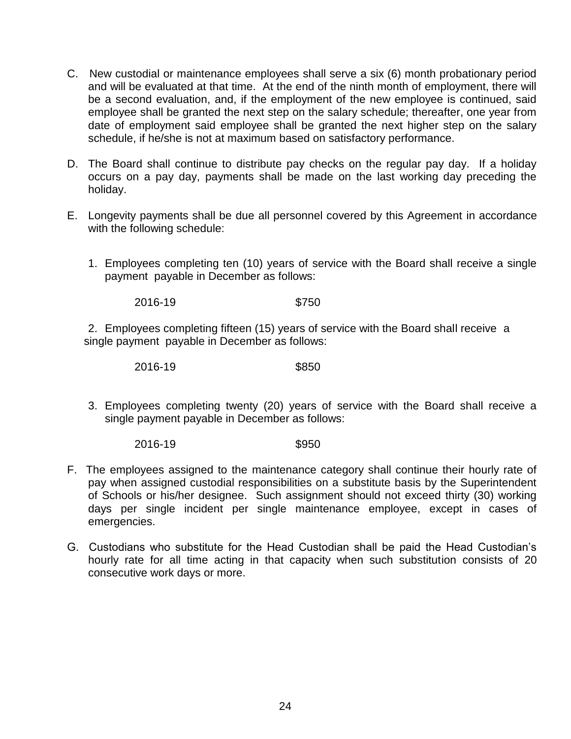- C. New custodial or maintenance employees shall serve a six (6) month probationary period and will be evaluated at that time. At the end of the ninth month of employment, there will be a second evaluation, and, if the employment of the new employee is continued, said employee shall be granted the next step on the salary schedule; thereafter, one year from date of employment said employee shall be granted the next higher step on the salary schedule, if he/she is not at maximum based on satisfactory performance.
- D. The Board shall continue to distribute pay checks on the regular pay day. If a holiday occurs on a pay day, payments shall be made on the last working day preceding the holiday.
- E. Longevity payments shall be due all personnel covered by this Agreement in accordance with the following schedule:
	- 1. Employees completing ten (10) years of service with the Board shall receive a single payment payable in December as follows:

2016-19 \$750

2. Employees completing fifteen (15) years of service with the Board shall receive a single payment payable in December as follows:

2016-19 \$850

3. Employees completing twenty (20) years of service with the Board shall receive a single payment payable in December as follows:

2016-19 \$950

- F. The employees assigned to the maintenance category shall continue their hourly rate of pay when assigned custodial responsibilities on a substitute basis by the Superintendent of Schools or his/her designee. Such assignment should not exceed thirty (30) working days per single incident per single maintenance employee, except in cases of emergencies.
- G. Custodians who substitute for the Head Custodian shall be paid the Head Custodian's hourly rate for all time acting in that capacity when such substitution consists of 20 consecutive work days or more.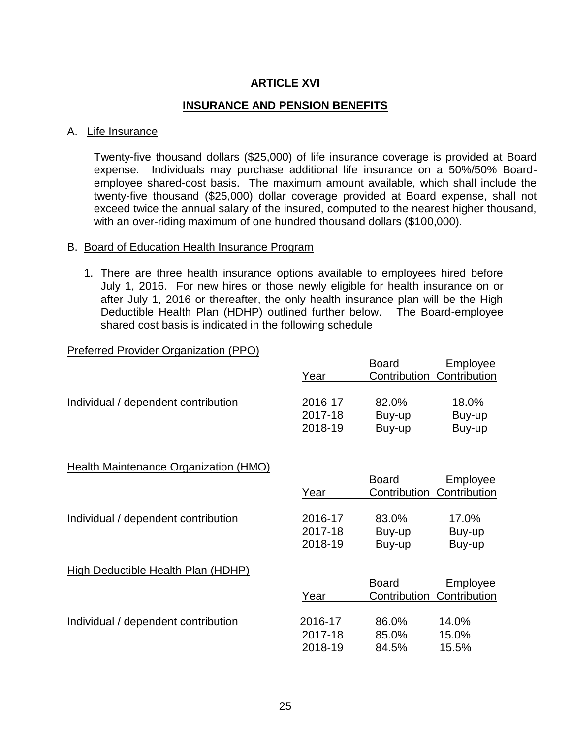# **ARTICLE XVI**

#### **INSURANCE AND PENSION BENEFITS**

#### A. Life Insurance

Twenty-five thousand dollars (\$25,000) of life insurance coverage is provided at Board expense. Individuals may purchase additional life insurance on a 50%/50% Boardemployee shared-cost basis. The maximum amount available, which shall include the twenty-five thousand (\$25,000) dollar coverage provided at Board expense, shall not exceed twice the annual salary of the insured, computed to the nearest higher thousand, with an over-riding maximum of one hundred thousand dollars (\$100,000).

#### B. Board of Education Health Insurance Program

1. There are three health insurance options available to employees hired before July 1, 2016. For new hires or those newly eligible for health insurance on or after July 1, 2016 or thereafter, the only health insurance plan will be the High Deductible Health Plan (HDHP) outlined further below. The Board-employee shared cost basis is indicated in the following schedule

#### Preferred Provider Organization (PPO)

|                                       | Year    | <b>Board</b><br>Contribution | Employee<br>Contribution |
|---------------------------------------|---------|------------------------------|--------------------------|
| Individual / dependent contribution   | 2016-17 | 82.0%                        | 18.0%                    |
|                                       | 2017-18 | Buy-up                       | Buy-up                   |
|                                       | 2018-19 | Buy-up                       | Buy-up                   |
| Health Maintenance Organization (HMO) | Year    | <b>Board</b><br>Contribution | Employee<br>Contribution |
| Individual / dependent contribution   | 2016-17 | 83.0%                        | 17.0%                    |
|                                       | 2017-18 | Buy-up                       | Buy-up                   |
|                                       | 2018-19 | Buy-up                       | Buy-up                   |
| High Deductible Health Plan (HDHP)    | Year    | <b>Board</b><br>Contribution | Employee<br>Contribution |
| Individual / dependent contribution   | 2016-17 | 86.0%                        | 14.0%                    |
|                                       | 2017-18 | 85.0%                        | 15.0%                    |
|                                       | 2018-19 | 84.5%                        | 15.5%                    |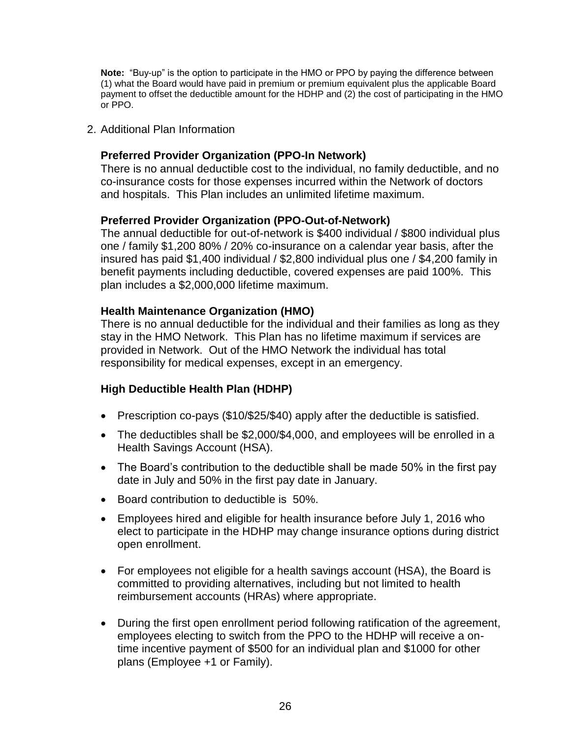**Note:** "Buy-up" is the option to participate in the HMO or PPO by paying the difference between (1) what the Board would have paid in premium or premium equivalent plus the applicable Board payment to offset the deductible amount for the HDHP and (2) the cost of participating in the HMO or PPO.

2. Additional Plan Information

## **Preferred Provider Organization (PPO-In Network)**

There is no annual deductible cost to the individual, no family deductible, and no co-insurance costs for those expenses incurred within the Network of doctors and hospitals. This Plan includes an unlimited lifetime maximum.

#### **Preferred Provider Organization (PPO-Out-of-Network)**

The annual deductible for out-of-network is \$400 individual / \$800 individual plus one / family \$1,200 80% / 20% co-insurance on a calendar year basis, after the insured has paid \$1,400 individual / \$2,800 individual plus one / \$4,200 family in benefit payments including deductible, covered expenses are paid 100%. This plan includes a \$2,000,000 lifetime maximum.

#### **Health Maintenance Organization (HMO)**

There is no annual deductible for the individual and their families as long as they stay in the HMO Network. This Plan has no lifetime maximum if services are provided in Network. Out of the HMO Network the individual has total responsibility for medical expenses, except in an emergency.

#### **High Deductible Health Plan (HDHP)**

- Prescription co-pays (\$10/\$25/\$40) apply after the deductible is satisfied.
- The deductibles shall be \$2,000/\$4,000, and employees will be enrolled in a Health Savings Account (HSA).
- The Board's contribution to the deductible shall be made 50% in the first pay date in July and 50% in the first pay date in January.
- Board contribution to deductible is 50%.
- Employees hired and eligible for health insurance before July 1, 2016 who elect to participate in the HDHP may change insurance options during district open enrollment.
- For employees not eligible for a health savings account (HSA), the Board is committed to providing alternatives, including but not limited to health reimbursement accounts (HRAs) where appropriate.
- During the first open enrollment period following ratification of the agreement, employees electing to switch from the PPO to the HDHP will receive a ontime incentive payment of \$500 for an individual plan and \$1000 for other plans (Employee +1 or Family).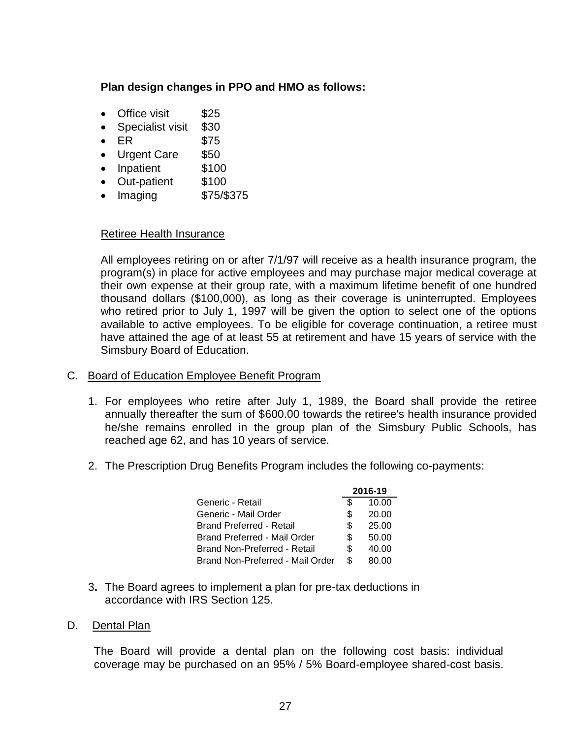# **Plan design changes in PPO and HMO as follows:**

- Office visit \$25
- Specialist visit \$30
- $\bullet$  ER \$75
- Urgent Care \$50
- Inpatient \$100
- Out-patient \$100
- Imaging \$75/\$375

#### Retiree Health Insurance

All employees retiring on or after 7/1/97 will receive as a health insurance program, the program(s) in place for active employees and may purchase major medical coverage at their own expense at their group rate, with a maximum lifetime benefit of one hundred thousand dollars (\$100,000), as long as their coverage is uninterrupted. Employees who retired prior to July 1, 1997 will be given the option to select one of the options available to active employees. To be eligible for coverage continuation, a retiree must have attained the age of at least 55 at retirement and have 15 years of service with the Simsbury Board of Education.

#### C. Board of Education Employee Benefit Program

- 1. For employees who retire after July 1, 1989, the Board shall provide the retiree annually thereafter the sum of \$600.00 towards the retiree's health insurance provided he/she remains enrolled in the group plan of the Simsbury Public Schools, has reached age 62, and has 10 years of service.
- 2. The Prescription Drug Benefits Program includes the following co-payments:

|                                  | 2016-19 |       |
|----------------------------------|---------|-------|
| Generic - Retail                 | S       | 10.00 |
| Generic - Mail Order             | S       | 20.00 |
| <b>Brand Preferred - Retail</b>  | S.      | 25.00 |
| Brand Preferred - Mail Order     | S.      | 50.00 |
| Brand Non-Preferred - Retail     | S.      | 40.00 |
| Brand Non-Preferred - Mail Order | \$      | 80.00 |

3**.** The Board agrees to implement a plan for pre-tax deductions in accordance with IRS Section 125.

#### D. Dental Plan

 The Board will provide a dental plan on the following cost basis: individual coverage may be purchased on an 95% / 5% Board-employee shared-cost basis.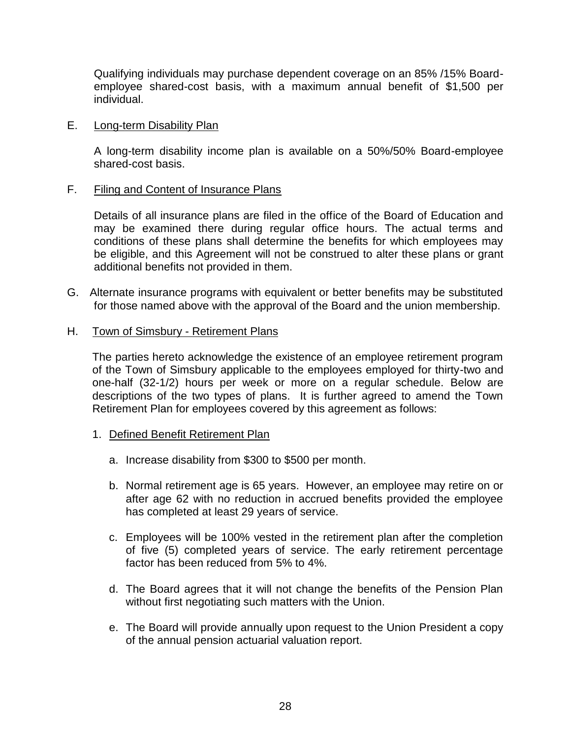Qualifying individuals may purchase dependent coverage on an 85% /15% Boardemployee shared-cost basis, with a maximum annual benefit of \$1,500 per individual.

#### E. Long-term Disability Plan

A long-term disability income plan is available on a 50%/50% Board-employee shared-cost basis.

#### F. Filing and Content of Insurance Plans

Details of all insurance plans are filed in the office of the Board of Education and may be examined there during regular office hours. The actual terms and conditions of these plans shall determine the benefits for which employees may be eligible, and this Agreement will not be construed to alter these plans or grant additional benefits not provided in them.

G. Alternate insurance programs with equivalent or better benefits may be substituted for those named above with the approval of the Board and the union membership.

#### H. Town of Simsbury - Retirement Plans

The parties hereto acknowledge the existence of an employee retirement program of the Town of Simsbury applicable to the employees employed for thirty-two and one-half (32-1/2) hours per week or more on a regular schedule. Below are descriptions of the two types of plans. It is further agreed to amend the Town Retirement Plan for employees covered by this agreement as follows:

- 1. Defined Benefit Retirement Plan
	- a. Increase disability from \$300 to \$500 per month.
	- b. Normal retirement age is 65 years. However, an employee may retire on or after age 62 with no reduction in accrued benefits provided the employee has completed at least 29 years of service.
	- c. Employees will be 100% vested in the retirement plan after the completion of five (5) completed years of service. The early retirement percentage factor has been reduced from 5% to 4%.
	- d. The Board agrees that it will not change the benefits of the Pension Plan without first negotiating such matters with the Union.
	- e. The Board will provide annually upon request to the Union President a copy of the annual pension actuarial valuation report.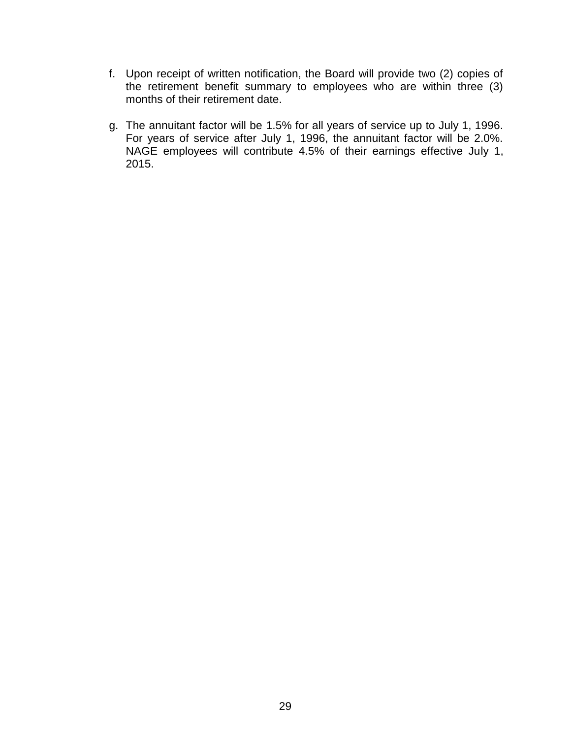- f. Upon receipt of written notification, the Board will provide two (2) copies of the retirement benefit summary to employees who are within three (3) months of their retirement date.
- g. The annuitant factor will be 1.5% for all years of service up to July 1, 1996. For years of service after July 1, 1996, the annuitant factor will be 2.0%. NAGE employees will contribute 4.5% of their earnings effective July 1, 2015.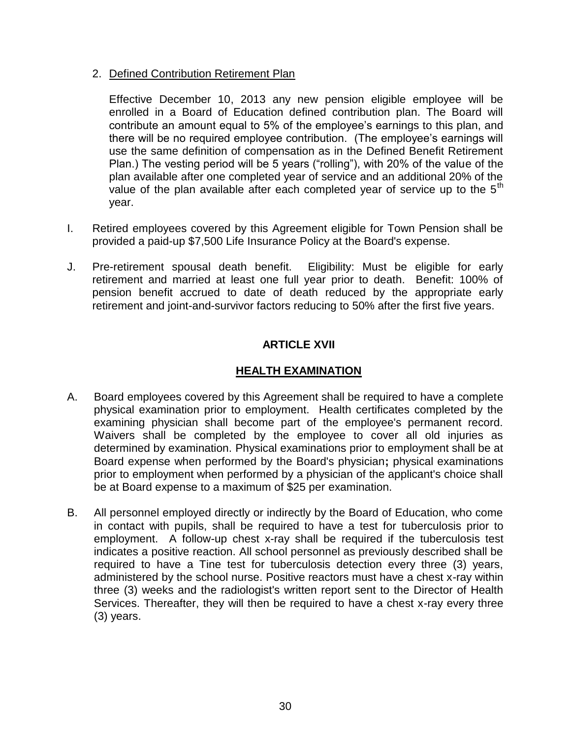## 2. Defined Contribution Retirement Plan

Effective December 10, 2013 any new pension eligible employee will be enrolled in a Board of Education defined contribution plan. The Board will contribute an amount equal to 5% of the employee's earnings to this plan, and there will be no required employee contribution. (The employee's earnings will use the same definition of compensation as in the Defined Benefit Retirement Plan.) The vesting period will be 5 years ("rolling"), with 20% of the value of the plan available after one completed year of service and an additional 20% of the value of the plan available after each completed year of service up to the  $5<sup>th</sup>$ year.

- I. Retired employees covered by this Agreement eligible for Town Pension shall be provided a paid-up \$7,500 Life Insurance Policy at the Board's expense.
- J. Pre-retirement spousal death benefit. Eligibility: Must be eligible for early retirement and married at least one full year prior to death. Benefit: 100% of pension benefit accrued to date of death reduced by the appropriate early retirement and joint-and-survivor factors reducing to 50% after the first five years.

# **ARTICLE XVII**

# **HEALTH EXAMINATION**

- A. Board employees covered by this Agreement shall be required to have a complete physical examination prior to employment. Health certificates completed by the examining physician shall become part of the employee's permanent record. Waivers shall be completed by the employee to cover all old injuries as determined by examination. Physical examinations prior to employment shall be at Board expense when performed by the Board's physician**;** physical examinations prior to employment when performed by a physician of the applicant's choice shall be at Board expense to a maximum of \$25 per examination.
- B. All personnel employed directly or indirectly by the Board of Education, who come in contact with pupils, shall be required to have a test for tuberculosis prior to employment. A follow-up chest x-ray shall be required if the tuberculosis test indicates a positive reaction. All school personnel as previously described shall be required to have a Tine test for tuberculosis detection every three (3) years, administered by the school nurse. Positive reactors must have a chest x-ray within three (3) weeks and the radiologist's written report sent to the Director of Health Services. Thereafter, they will then be required to have a chest x-ray every three (3) years.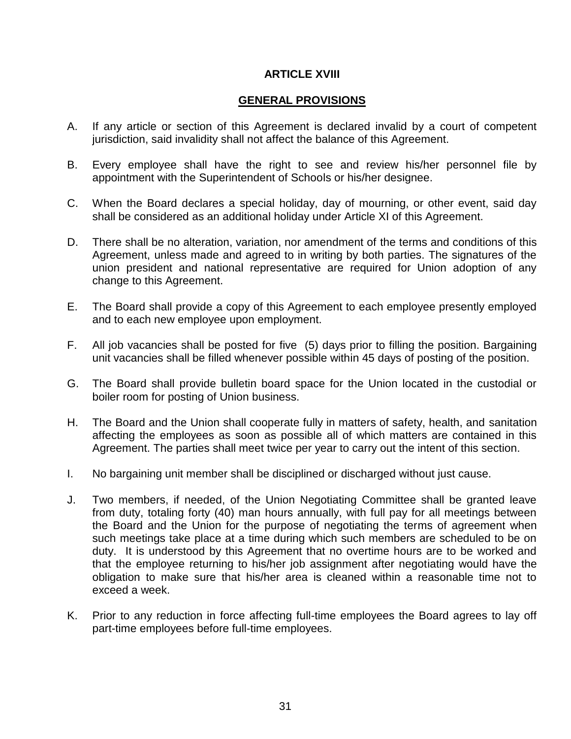#### **ARTICLE XVIII**

## **GENERAL PROVISIONS**

- A. If any article or section of this Agreement is declared invalid by a court of competent jurisdiction, said invalidity shall not affect the balance of this Agreement.
- B. Every employee shall have the right to see and review his/her personnel file by appointment with the Superintendent of Schools or his/her designee.
- C. When the Board declares a special holiday, day of mourning, or other event, said day shall be considered as an additional holiday under Article XI of this Agreement.
- D. There shall be no alteration, variation, nor amendment of the terms and conditions of this Agreement, unless made and agreed to in writing by both parties. The signatures of the union president and national representative are required for Union adoption of any change to this Agreement.
- E. The Board shall provide a copy of this Agreement to each employee presently employed and to each new employee upon employment.
- F. All job vacancies shall be posted for five (5) days prior to filling the position. Bargaining unit vacancies shall be filled whenever possible within 45 days of posting of the position.
- G. The Board shall provide bulletin board space for the Union located in the custodial or boiler room for posting of Union business.
- H. The Board and the Union shall cooperate fully in matters of safety, health, and sanitation affecting the employees as soon as possible all of which matters are contained in this Agreement. The parties shall meet twice per year to carry out the intent of this section.
- I. No bargaining unit member shall be disciplined or discharged without just cause.
- J. Two members, if needed, of the Union Negotiating Committee shall be granted leave from duty, totaling forty (40) man hours annually, with full pay for all meetings between the Board and the Union for the purpose of negotiating the terms of agreement when such meetings take place at a time during which such members are scheduled to be on duty. It is understood by this Agreement that no overtime hours are to be worked and that the employee returning to his/her job assignment after negotiating would have the obligation to make sure that his/her area is cleaned within a reasonable time not to exceed a week.
- K. Prior to any reduction in force affecting full-time employees the Board agrees to lay off part-time employees before full-time employees.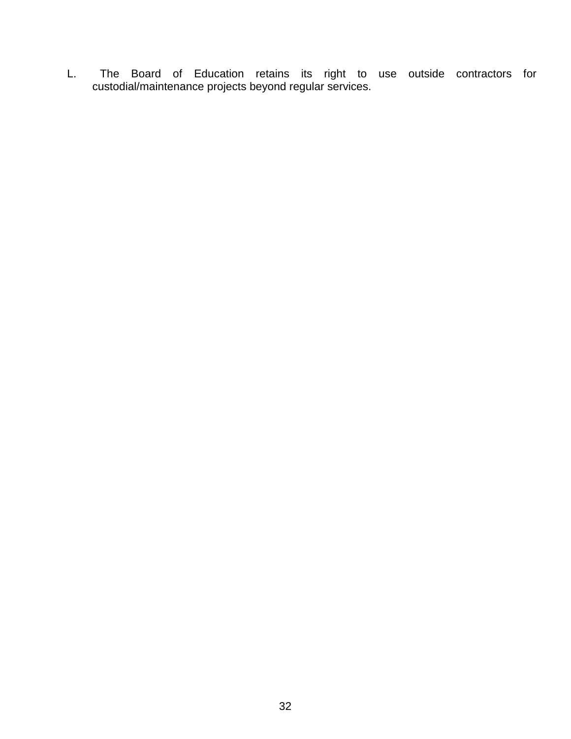L. The Board of Education retains its right to use outside contractors for custodial/maintenance projects beyond regular services.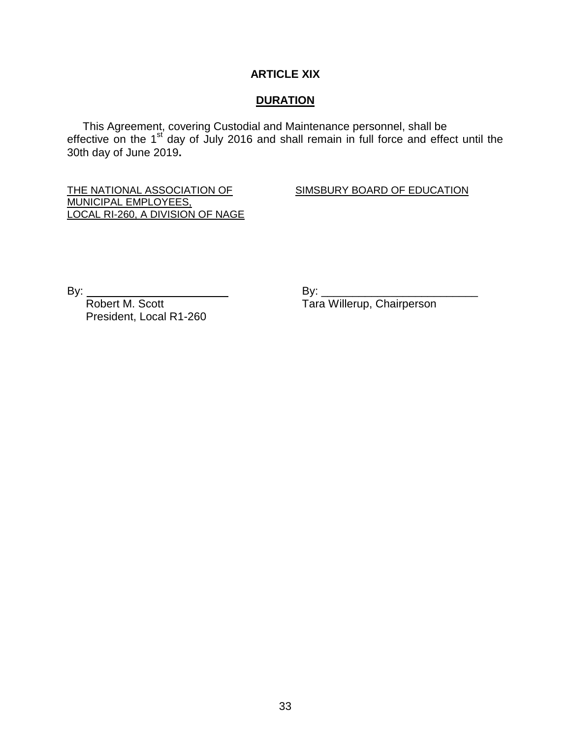#### **ARTICLE XIX**

#### **DURATION**

 This Agreement, covering Custodial and Maintenance personnel, shall be effective on the 1<sup>st</sup> day of July 2016 and shall remain in full force and effect until the 30th day of June 2019**.**

THE NATIONAL ASSOCIATION OF SIMSBURY BOARD OF EDUCATION MUNICIPAL EMPLOYEES, LOCAL RI-260, A DIVISION OF NAGE

By: By: \_\_\_\_\_\_\_\_\_\_\_\_\_\_\_\_\_\_\_\_\_\_\_\_\_ President, Local R1-260

Tara Willerup, Chairperson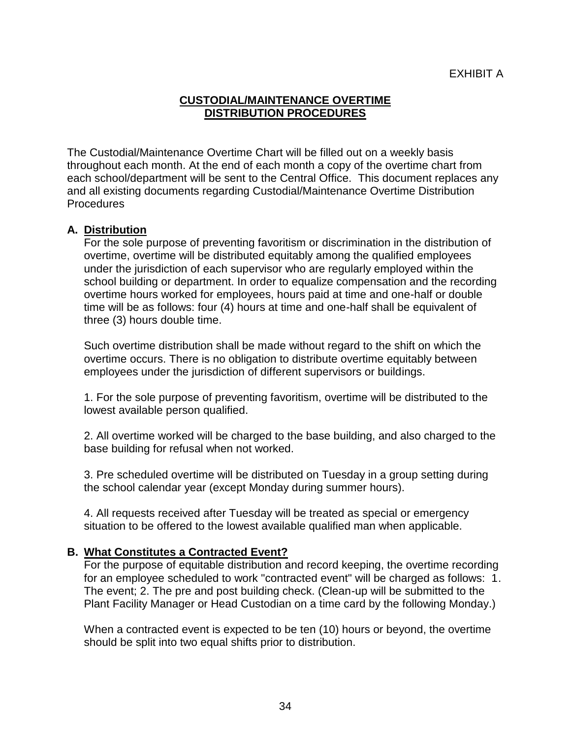# **CUSTODIAL/MAINTENANCE OVERTIME DISTRIBUTION PROCEDURES**

The Custodial/Maintenance Overtime Chart will be filled out on a weekly basis throughout each month. At the end of each month a copy of the overtime chart from each school/department will be sent to the Central Office. This document replaces any and all existing documents regarding Custodial/Maintenance Overtime Distribution **Procedures** 

# **A. Distribution**

For the sole purpose of preventing favoritism or discrimination in the distribution of overtime, overtime will be distributed equitably among the qualified employees under the jurisdiction of each supervisor who are regularly employed within the school building or department. In order to equalize compensation and the recording overtime hours worked for employees, hours paid at time and one-half or double time will be as follows: four (4) hours at time and one-half shall be equivalent of three (3) hours double time.

Such overtime distribution shall be made without regard to the shift on which the overtime occurs. There is no obligation to distribute overtime equitably between employees under the jurisdiction of different supervisors or buildings.

1. For the sole purpose of preventing favoritism, overtime will be distributed to the lowest available person qualified.

2. All overtime worked will be charged to the base building, and also charged to the base building for refusal when not worked.

3. Pre scheduled overtime will be distributed on Tuesday in a group setting during the school calendar year (except Monday during summer hours).

4. All requests received after Tuesday will be treated as special or emergency situation to be offered to the lowest available qualified man when applicable.

#### **B. What Constitutes a Contracted Event?**

For the purpose of equitable distribution and record keeping, the overtime recording for an employee scheduled to work "contracted event" will be charged as follows: 1. The event; 2. The pre and post building check. (Clean-up will be submitted to the Plant Facility Manager or Head Custodian on a time card by the following Monday.)

When a contracted event is expected to be ten (10) hours or beyond, the overtime should be split into two equal shifts prior to distribution.